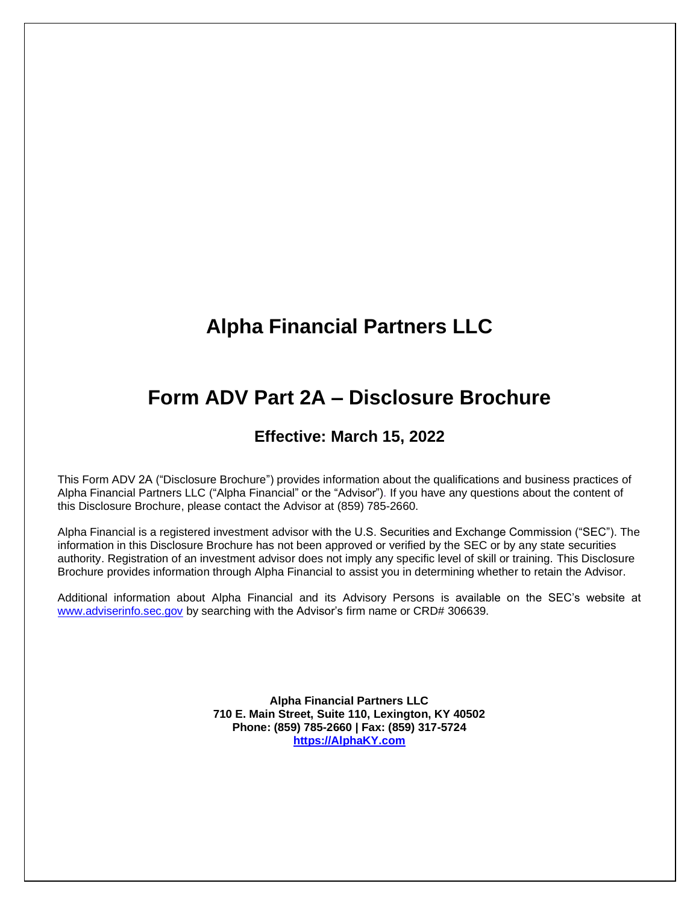# **Alpha Financial Partners LLC**

# **Form ADV Part 2A – Disclosure Brochure**

# **Effective: March 15, 2022**

This Form ADV 2A ("Disclosure Brochure") provides information about the qualifications and business practices of Alpha Financial Partners LLC ("Alpha Financial" or the "Advisor"). If you have any questions about the content of this Disclosure Brochure, please contact the Advisor at (859) 785-2660.

Alpha Financial is a registered investment advisor with the U.S. Securities and Exchange Commission ("SEC"). The information in this Disclosure Brochure has not been approved or verified by the SEC or by any state securities authority. Registration of an investment advisor does not imply any specific level of skill or training. This Disclosure Brochure provides information through Alpha Financial to assist you in determining whether to retain the Advisor.

Additional information about Alpha Financial and its Advisory Persons is available on the SEC's website at [www.adviserinfo.sec.gov](http://www.adviserinfo.sec.gov/) by searching with the Advisor's firm name or CRD# 306639.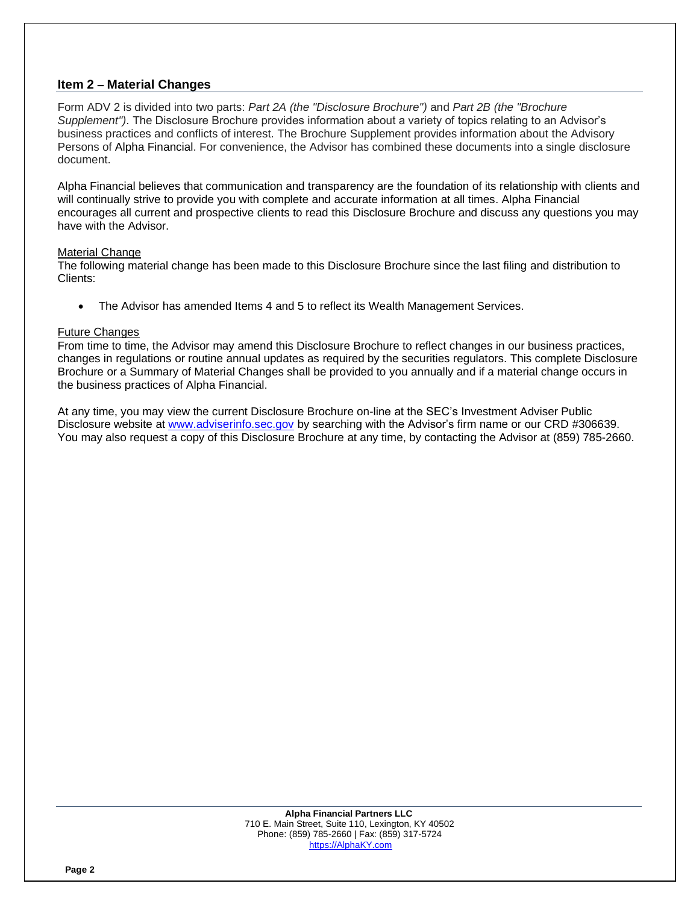# **Item 2 – Material Changes**

Form ADV 2 is divided into two parts: *Part 2A (the "Disclosure Brochure")* and *Part 2B (the "Brochure Supplement")*. The Disclosure Brochure provides information about a variety of topics relating to an Advisor's business practices and conflicts of interest. The Brochure Supplement provides information about the Advisory Persons of Alpha Financial. For convenience, the Advisor has combined these documents into a single disclosure document.

Alpha Financial believes that communication and transparency are the foundation of its relationship with clients and will continually strive to provide you with complete and accurate information at all times. Alpha Financial encourages all current and prospective clients to read this Disclosure Brochure and discuss any questions you may have with the Advisor.

### Material Change

The following material change has been made to this Disclosure Brochure since the last filing and distribution to Clients:

• The Advisor has amended Items 4 and 5 to reflect its Wealth Management Services.

#### Future Changes

From time to time, the Advisor may amend this Disclosure Brochure to reflect changes in our business practices, changes in regulations or routine annual updates as required by the securities regulators. This complete Disclosure Brochure or a Summary of Material Changes shall be provided to you annually and if a material change occurs in the business practices of Alpha Financial.

At any time, you may view the current Disclosure Brochure on-line at the SEC's Investment Adviser Public Disclosure website at [www.adviserinfo.sec.gov](http://www.adviserinfo.sec.gov/) by searching with the Advisor's firm name or our CRD #306639. You may also request a copy of this Disclosure Brochure at any time, by contacting the Advisor at (859) 785-2660.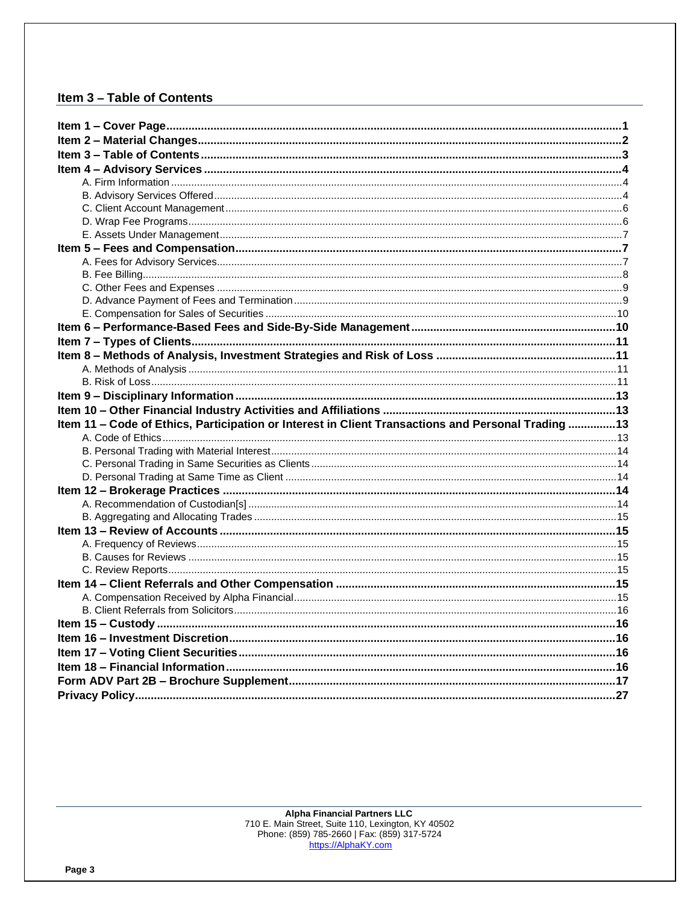# Item 3 - Table of Contents

| Item 11 - Code of Ethics, Participation or Interest in Client Transactions and Personal Trading 13 |  |
|----------------------------------------------------------------------------------------------------|--|
|                                                                                                    |  |
|                                                                                                    |  |
|                                                                                                    |  |
|                                                                                                    |  |
|                                                                                                    |  |
|                                                                                                    |  |
|                                                                                                    |  |
|                                                                                                    |  |
|                                                                                                    |  |
|                                                                                                    |  |
|                                                                                                    |  |
|                                                                                                    |  |
|                                                                                                    |  |
|                                                                                                    |  |
|                                                                                                    |  |
|                                                                                                    |  |
|                                                                                                    |  |
|                                                                                                    |  |
|                                                                                                    |  |
|                                                                                                    |  |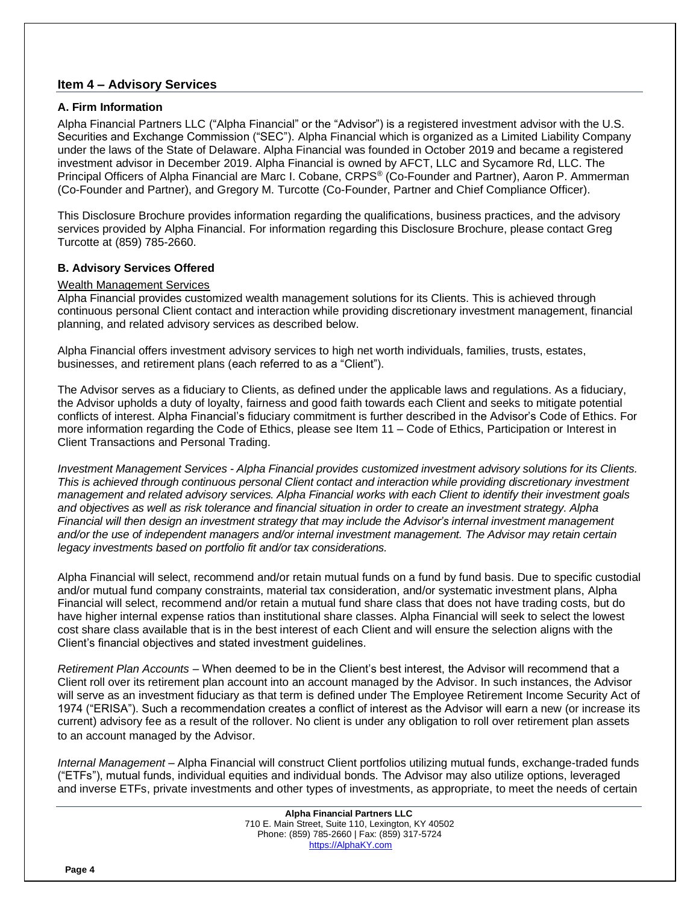# **Item 4 – Advisory Services**

### **A. Firm Information**

Alpha Financial Partners LLC ("Alpha Financial" or the "Advisor") is a registered investment advisor with the U.S. Securities and Exchange Commission ("SEC"). Alpha Financial which is organized as a Limited Liability Company under the laws of the State of Delaware. Alpha Financial was founded in October 2019 and became a registered investment advisor in December 2019. Alpha Financial is owned by AFCT, LLC and Sycamore Rd, LLC. The Principal Officers of Alpha Financial are Marc I. Cobane, CRPS® (Co-Founder and Partner), Aaron P. Ammerman (Co-Founder and Partner), and Gregory M. Turcotte (Co-Founder, Partner and Chief Compliance Officer).

This Disclosure Brochure provides information regarding the qualifications, business practices, and the advisory services provided by Alpha Financial. For information regarding this Disclosure Brochure, please contact Greg Turcotte at (859) 785-2660.

### **B. Advisory Services Offered**

### Wealth Management Services

Alpha Financial provides customized wealth management solutions for its Clients. This is achieved through continuous personal Client contact and interaction while providing discretionary investment management, financial planning, and related advisory services as described below.

Alpha Financial offers investment advisory services to high net worth individuals, families, trusts, estates, businesses, and retirement plans (each referred to as a "Client").

The Advisor serves as a fiduciary to Clients, as defined under the applicable laws and regulations. As a fiduciary, the Advisor upholds a duty of loyalty, fairness and good faith towards each Client and seeks to mitigate potential conflicts of interest. Alpha Financial's fiduciary commitment is further described in the Advisor's Code of Ethics. For more information regarding the Code of Ethics, please see Item 11 – Code of Ethics, Participation or Interest in Client Transactions and Personal Trading.

*Investment Management Services - Alpha Financial provides customized investment advisory solutions for its Clients. This is achieved through continuous personal Client contact and interaction while providing discretionary investment management and related advisory services. Alpha Financial works with each Client to identify their investment goals and objectives as well as risk tolerance and financial situation in order to create an investment strategy. Alpha Financial will then design an investment strategy that may include the Advisor's internal investment management and/or the use of independent managers and/or internal investment management. The Advisor may retain certain legacy investments based on portfolio fit and/or tax considerations.*

Alpha Financial will select, recommend and/or retain mutual funds on a fund by fund basis. Due to specific custodial and/or mutual fund company constraints, material tax consideration, and/or systematic investment plans, Alpha Financial will select, recommend and/or retain a mutual fund share class that does not have trading costs, but do have higher internal expense ratios than institutional share classes. Alpha Financial will seek to select the lowest cost share class available that is in the best interest of each Client and will ensure the selection aligns with the Client's financial objectives and stated investment guidelines.

*Retirement Plan Accounts* – When deemed to be in the Client's best interest, the Advisor will recommend that a Client roll over its retirement plan account into an account managed by the Advisor. In such instances, the Advisor will serve as an investment fiduciary as that term is defined under The Employee Retirement Income Security Act of 1974 ("ERISA"). Such a recommendation creates a conflict of interest as the Advisor will earn a new (or increase its current) advisory fee as a result of the rollover. No client is under any obligation to roll over retirement plan assets to an account managed by the Advisor.

*Internal Management* – Alpha Financial will construct Client portfolios utilizing mutual funds, exchange-traded funds ("ETFs"), mutual funds, individual equities and individual bonds. The Advisor may also utilize options, leveraged and inverse ETFs, private investments and other types of investments, as appropriate, to meet the needs of certain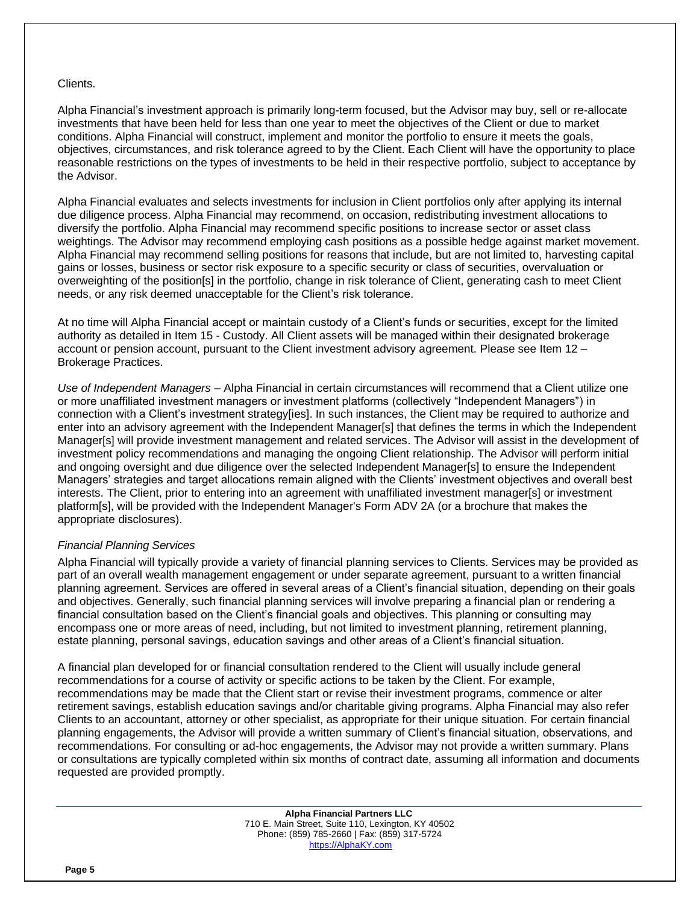### Clients.

Alpha Financial's investment approach is primarily long-term focused, but the Advisor may buy, sell or re-allocate investments that have been held for less than one year to meet the objectives of the Client or due to market conditions. Alpha Financial will construct, implement and monitor the portfolio to ensure it meets the goals, objectives, circumstances, and risk tolerance agreed to by the Client. Each Client will have the opportunity to place reasonable restrictions on the types of investments to be held in their respective portfolio, subject to acceptance by the Advisor.

Alpha Financial evaluates and selects investments for inclusion in Client portfolios only after applying its internal due diligence process. Alpha Financial may recommend, on occasion, redistributing investment allocations to diversify the portfolio. Alpha Financial may recommend specific positions to increase sector or asset class weightings. The Advisor may recommend employing cash positions as a possible hedge against market movement. Alpha Financial may recommend selling positions for reasons that include, but are not limited to, harvesting capital gains or losses, business or sector risk exposure to a specific security or class of securities, overvaluation or overweighting of the position[s] in the portfolio, change in risk tolerance of Client, generating cash to meet Client needs, or any risk deemed unacceptable for the Client's risk tolerance.

At no time will Alpha Financial accept or maintain custody of a Client's funds or securities, except for the limited authority as detailed in Item 15 - Custody. All Client assets will be managed within their designated brokerage account or pension account, pursuant to the Client investment advisory agreement. Please see Item 12 – Brokerage Practices.

*Use of Independent Managers* – Alpha Financial in certain circumstances will recommend that a Client utilize one or more unaffiliated investment managers or investment platforms (collectively "Independent Managers") in connection with a Client's investment strategy[ies]. In such instances, the Client may be required to authorize and enter into an advisory agreement with the Independent Manager[s] that defines the terms in which the Independent Manager[s] will provide investment management and related services. The Advisor will assist in the development of investment policy recommendations and managing the ongoing Client relationship. The Advisor will perform initial and ongoing oversight and due diligence over the selected Independent Manager [s] to ensure the Independent Managers' strategies and target allocations remain aligned with the Clients' investment objectives and overall best interests. The Client, prior to entering into an agreement with unaffiliated investment manager[s] or investment platform[s], will be provided with the Independent Manager's Form ADV 2A (or a brochure that makes the appropriate disclosures).

### *Financial Planning Services*

Alpha Financial will typically provide a variety of financial planning services to Clients. Services may be provided as part of an overall wealth management engagement or under separate agreement, pursuant to a written financial planning agreement. Services are offered in several areas of a Client's financial situation, depending on their goals and objectives. Generally, such financial planning services will involve preparing a financial plan or rendering a financial consultation based on the Client's financial goals and objectives. This planning or consulting may encompass one or more areas of need, including, but not limited to investment planning, retirement planning, estate planning, personal savings, education savings and other areas of a Client's financial situation.

A financial plan developed for or financial consultation rendered to the Client will usually include general recommendations for a course of activity or specific actions to be taken by the Client. For example, recommendations may be made that the Client start or revise their investment programs, commence or alter retirement savings, establish education savings and/or charitable giving programs. Alpha Financial may also refer Clients to an accountant, attorney or other specialist, as appropriate for their unique situation. For certain financial planning engagements, the Advisor will provide a written summary of Client's financial situation, observations, and recommendations. For consulting or ad-hoc engagements, the Advisor may not provide a written summary. Plans or consultations are typically completed within six months of contract date, assuming all information and documents requested are provided promptly.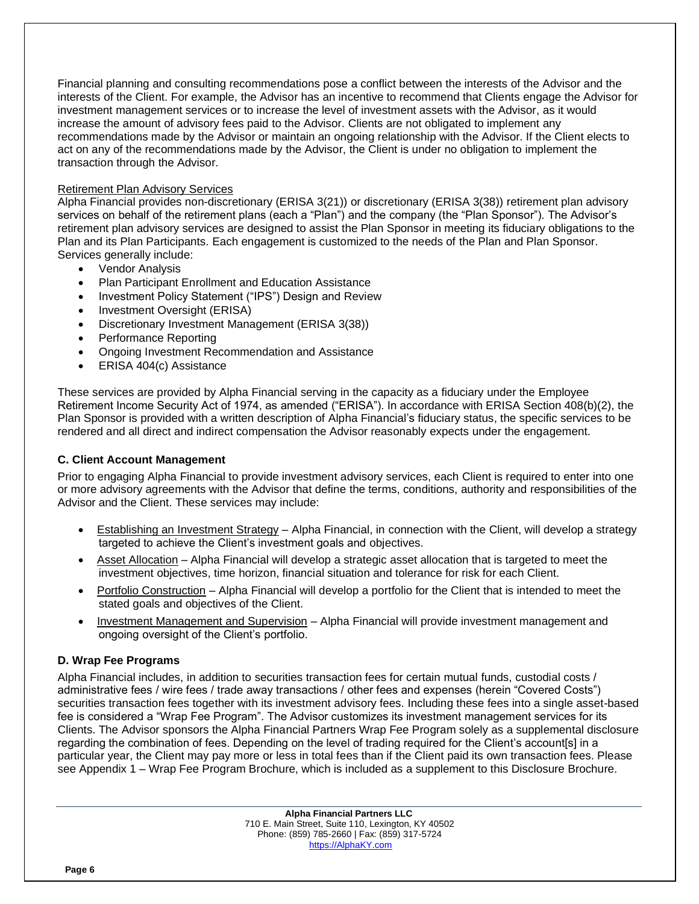Financial planning and consulting recommendations pose a conflict between the interests of the Advisor and the interests of the Client. For example, the Advisor has an incentive to recommend that Clients engage the Advisor for investment management services or to increase the level of investment assets with the Advisor, as it would increase the amount of advisory fees paid to the Advisor. Clients are not obligated to implement any recommendations made by the Advisor or maintain an ongoing relationship with the Advisor. If the Client elects to act on any of the recommendations made by the Advisor, the Client is under no obligation to implement the transaction through the Advisor.

### Retirement Plan Advisory Services

Alpha Financial provides non-discretionary (ERISA 3(21)) or discretionary (ERISA 3(38)) retirement plan advisory services on behalf of the retirement plans (each a "Plan") and the company (the "Plan Sponsor"). The Advisor's retirement plan advisory services are designed to assist the Plan Sponsor in meeting its fiduciary obligations to the Plan and its Plan Participants. Each engagement is customized to the needs of the Plan and Plan Sponsor. Services generally include:

- Vendor Analysis
- Plan Participant Enrollment and Education Assistance
- Investment Policy Statement ("IPS") Design and Review
- Investment Oversight (ERISA)
- Discretionary Investment Management (ERISA 3(38))
- Performance Reporting
- Ongoing Investment Recommendation and Assistance
- ERISA 404(c) Assistance

These services are provided by Alpha Financial serving in the capacity as a fiduciary under the Employee Retirement Income Security Act of 1974, as amended ("ERISA"). In accordance with ERISA Section 408(b)(2), the Plan Sponsor is provided with a written description of Alpha Financial's fiduciary status, the specific services to be rendered and all direct and indirect compensation the Advisor reasonably expects under the engagement.

### **C. Client Account Management**

Prior to engaging Alpha Financial to provide investment advisory services, each Client is required to enter into one or more advisory agreements with the Advisor that define the terms, conditions, authority and responsibilities of the Advisor and the Client. These services may include:

- Establishing an Investment Strategy Alpha Financial, in connection with the Client, will develop a strategy targeted to achieve the Client's investment goals and objectives.
- Asset Allocation Alpha Financial will develop a strategic asset allocation that is targeted to meet the investment objectives, time horizon, financial situation and tolerance for risk for each Client.
- Portfolio Construction Alpha Financial will develop a portfolio for the Client that is intended to meet the stated goals and objectives of the Client.
- Investment Management and Supervision Alpha Financial will provide investment management and ongoing oversight of the Client's portfolio.

### **D. Wrap Fee Programs**

Alpha Financial includes, in addition to securities transaction fees for certain mutual funds, custodial costs / administrative fees / wire fees / trade away transactions / other fees and expenses (herein "Covered Costs") securities transaction fees together with its investment advisory fees. Including these fees into a single asset-based fee is considered a "Wrap Fee Program". The Advisor customizes its investment management services for its Clients. The Advisor sponsors the Alpha Financial Partners Wrap Fee Program solely as a supplemental disclosure regarding the combination of fees. Depending on the level of trading required for the Client's account[s] in a particular year, the Client may pay more or less in total fees than if the Client paid its own transaction fees. Please see Appendix 1 – Wrap Fee Program Brochure, which is included as a supplement to this Disclosure Brochure.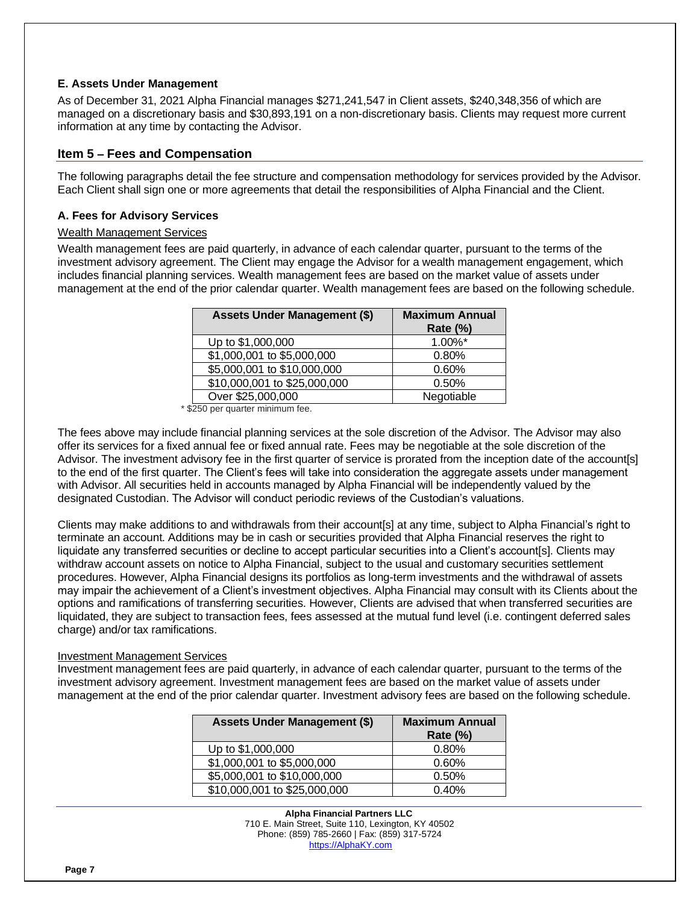# **E. Assets Under Management**

As of December 31, 2021 Alpha Financial manages \$271,241,547 in Client assets, \$240,348,356 of which are managed on a discretionary basis and \$30,893,191 on a non-discretionary basis. Clients may request more current information at any time by contacting the Advisor.

# **Item 5 – Fees and Compensation**

The following paragraphs detail the fee structure and compensation methodology for services provided by the Advisor. Each Client shall sign one or more agreements that detail the responsibilities of Alpha Financial and the Client.

### **A. Fees for Advisory Services**

### Wealth Management Services

Wealth management fees are paid quarterly, in advance of each calendar quarter, pursuant to the terms of the investment advisory agreement. The Client may engage the Advisor for a wealth management engagement, which includes financial planning services. Wealth management fees are based on the market value of assets under management at the end of the prior calendar quarter. Wealth management fees are based on the following schedule.

| <b>Assets Under Management (\$)</b> | <b>Maximum Annual</b><br><b>Rate (%)</b> |  |
|-------------------------------------|------------------------------------------|--|
| Up to \$1,000,000                   | 1.00%*                                   |  |
| \$1,000,001 to \$5,000,000          | 0.80%                                    |  |
| \$5,000,001 to \$10,000,000         | 0.60%                                    |  |
| \$10,000,001 to \$25,000,000        | 0.50%                                    |  |
| Over \$25,000,000                   | Negotiable                               |  |

<sup>\*</sup> \$250 per quarter minimum fee.

The fees above may include financial planning services at the sole discretion of the Advisor. The Advisor may also offer its services for a fixed annual fee or fixed annual rate. Fees may be negotiable at the sole discretion of the Advisor. The investment advisory fee in the first quarter of service is prorated from the inception date of the account[s] to the end of the first quarter. The Client's fees will take into consideration the aggregate assets under management with Advisor. All securities held in accounts managed by Alpha Financial will be independently valued by the designated Custodian. The Advisor will conduct periodic reviews of the Custodian's valuations.

Clients may make additions to and withdrawals from their account[s] at any time, subject to Alpha Financial's right to terminate an account. Additions may be in cash or securities provided that Alpha Financial reserves the right to liquidate any transferred securities or decline to accept particular securities into a Client's account[s]. Clients may withdraw account assets on notice to Alpha Financial, subject to the usual and customary securities settlement procedures. However, Alpha Financial designs its portfolios as long-term investments and the withdrawal of assets may impair the achievement of a Client's investment objectives. Alpha Financial may consult with its Clients about the options and ramifications of transferring securities. However, Clients are advised that when transferred securities are liquidated, they are subject to transaction fees, fees assessed at the mutual fund level (i.e. contingent deferred sales charge) and/or tax ramifications.

### Investment Management Services

Investment management fees are paid quarterly, in advance of each calendar quarter, pursuant to the terms of the investment advisory agreement. Investment management fees are based on the market value of assets under management at the end of the prior calendar quarter. Investment advisory fees are based on the following schedule.

| <b>Assets Under Management (\$)</b> | <b>Maximum Annual</b><br><b>Rate (%)</b> |
|-------------------------------------|------------------------------------------|
| Up to \$1,000,000                   | 0.80%                                    |
| \$1,000,001 to \$5,000,000          | 0.60%                                    |
| \$5,000,001 to \$10,000,000         | 0.50%                                    |
| \$10,000,001 to \$25,000,000        | 0.40%                                    |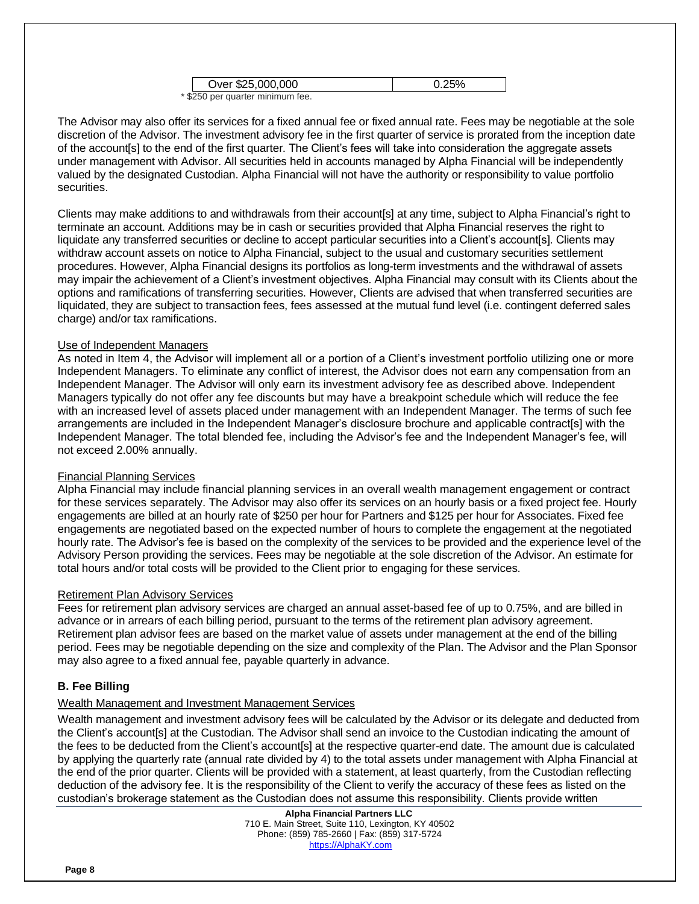| Over \$25,000,000                |  |
|----------------------------------|--|
| * \$250 per quarter minimum fee. |  |

The Advisor may also offer its services for a fixed annual fee or fixed annual rate. Fees may be negotiable at the sole discretion of the Advisor. The investment advisory fee in the first quarter of service is prorated from the inception date of the account[s] to the end of the first quarter. The Client's fees will take into consideration the aggregate assets under management with Advisor. All securities held in accounts managed by Alpha Financial will be independently valued by the designated Custodian. Alpha Financial will not have the authority or responsibility to value portfolio securities.

Clients may make additions to and withdrawals from their account[s] at any time, subject to Alpha Financial's right to terminate an account. Additions may be in cash or securities provided that Alpha Financial reserves the right to liquidate any transferred securities or decline to accept particular securities into a Client's account[s]. Clients may withdraw account assets on notice to Alpha Financial, subject to the usual and customary securities settlement procedures. However, Alpha Financial designs its portfolios as long-term investments and the withdrawal of assets may impair the achievement of a Client's investment objectives. Alpha Financial may consult with its Clients about the options and ramifications of transferring securities. However, Clients are advised that when transferred securities are liquidated, they are subject to transaction fees, fees assessed at the mutual fund level (i.e. contingent deferred sales charge) and/or tax ramifications.

### Use of Independent Managers

As noted in Item 4, the Advisor will implement all or a portion of a Client's investment portfolio utilizing one or more Independent Managers. To eliminate any conflict of interest, the Advisor does not earn any compensation from an Independent Manager. The Advisor will only earn its investment advisory fee as described above. Independent Managers typically do not offer any fee discounts but may have a breakpoint schedule which will reduce the fee with an increased level of assets placed under management with an Independent Manager. The terms of such fee arrangements are included in the Independent Manager's disclosure brochure and applicable contract[s] with the Independent Manager. The total blended fee, including the Advisor's fee and the Independent Manager's fee, will not exceed 2.00% annually.

### Financial Planning Services

Alpha Financial may include financial planning services in an overall wealth management engagement or contract for these services separately. The Advisor may also offer its services on an hourly basis or a fixed project fee. Hourly engagements are billed at an hourly rate of \$250 per hour for Partners and \$125 per hour for Associates. Fixed fee engagements are negotiated based on the expected number of hours to complete the engagement at the negotiated hourly rate. The Advisor's fee is based on the complexity of the services to be provided and the experience level of the Advisory Person providing the services. Fees may be negotiable at the sole discretion of the Advisor. An estimate for total hours and/or total costs will be provided to the Client prior to engaging for these services.

### Retirement Plan Advisory Services

Fees for retirement plan advisory services are charged an annual asset-based fee of up to 0.75%, and are billed in advance or in arrears of each billing period, pursuant to the terms of the retirement plan advisory agreement. Retirement plan advisor fees are based on the market value of assets under management at the end of the billing period. Fees may be negotiable depending on the size and complexity of the Plan. The Advisor and the Plan Sponsor may also agree to a fixed annual fee, payable quarterly in advance.

# **B. Fee Billing**

# Wealth Management and Investment Management Services

Wealth management and investment advisory fees will be calculated by the Advisor or its delegate and deducted from the Client's account[s] at the Custodian. The Advisor shall send an invoice to the Custodian indicating the amount of the fees to be deducted from the Client's account[s] at the respective quarter-end date. The amount due is calculated by applying the quarterly rate (annual rate divided by 4) to the total assets under management with Alpha Financial at the end of the prior quarter. Clients will be provided with a statement, at least quarterly, from the Custodian reflecting deduction of the advisory fee. It is the responsibility of the Client to verify the accuracy of these fees as listed on the custodian's brokerage statement as the Custodian does not assume this responsibility. Clients provide written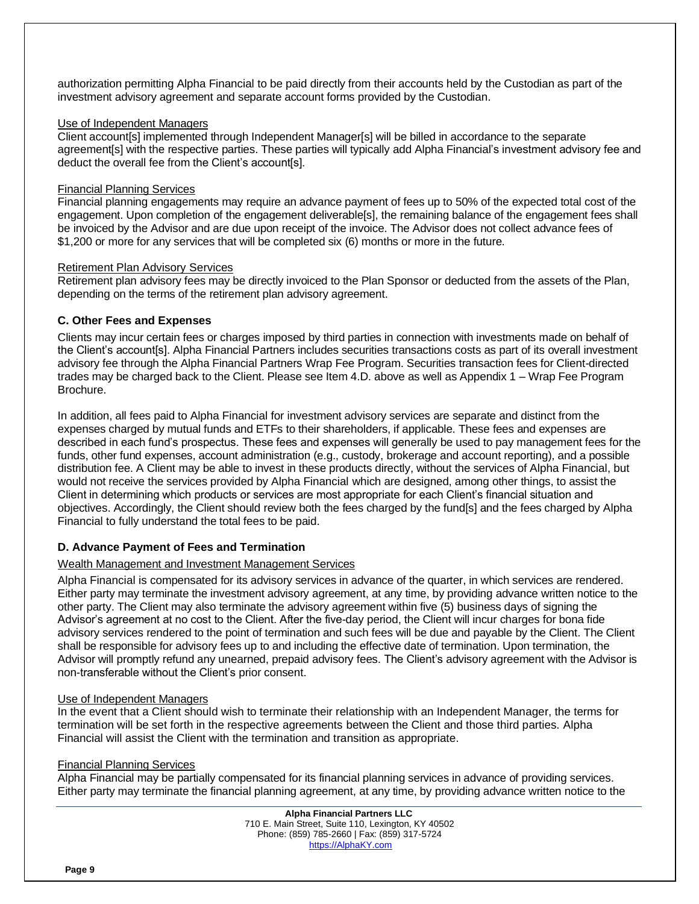authorization permitting Alpha Financial to be paid directly from their accounts held by the Custodian as part of the investment advisory agreement and separate account forms provided by the Custodian.

### Use of Independent Managers

Client account[s] implemented through Independent Manager[s] will be billed in accordance to the separate agreement[s] with the respective parties. These parties will typically add Alpha Financial's investment advisory fee and deduct the overall fee from the Client's account[s].

### Financial Planning Services

Financial planning engagements may require an advance payment of fees up to 50% of the expected total cost of the engagement. Upon completion of the engagement deliverable[s], the remaining balance of the engagement fees shall be invoiced by the Advisor and are due upon receipt of the invoice. The Advisor does not collect advance fees of \$1,200 or more for any services that will be completed six (6) months or more in the future.

#### Retirement Plan Advisory Services

Retirement plan advisory fees may be directly invoiced to the Plan Sponsor or deducted from the assets of the Plan, depending on the terms of the retirement plan advisory agreement.

### **C. Other Fees and Expenses**

Clients may incur certain fees or charges imposed by third parties in connection with investments made on behalf of the Client's account[s]. Alpha Financial Partners includes securities transactions costs as part of its overall investment advisory fee through the Alpha Financial Partners Wrap Fee Program. Securities transaction fees for Client-directed trades may be charged back to the Client. Please see Item 4.D. above as well as Appendix 1 – Wrap Fee Program Brochure.

In addition, all fees paid to Alpha Financial for investment advisory services are separate and distinct from the expenses charged by mutual funds and ETFs to their shareholders, if applicable. These fees and expenses are described in each fund's prospectus. These fees and expenses will generally be used to pay management fees for the funds, other fund expenses, account administration (e.g., custody, brokerage and account reporting), and a possible distribution fee. A Client may be able to invest in these products directly, without the services of Alpha Financial, but would not receive the services provided by Alpha Financial which are designed, among other things, to assist the Client in determining which products or services are most appropriate for each Client's financial situation and objectives. Accordingly, the Client should review both the fees charged by the fund[s] and the fees charged by Alpha Financial to fully understand the total fees to be paid.

### **D. Advance Payment of Fees and Termination**

### Wealth Management and Investment Management Services

Alpha Financial is compensated for its advisory services in advance of the quarter, in which services are rendered. Either party may terminate the investment advisory agreement, at any time, by providing advance written notice to the other party. The Client may also terminate the advisory agreement within five (5) business days of signing the Advisor's agreement at no cost to the Client. After the five-day period, the Client will incur charges for bona fide advisory services rendered to the point of termination and such fees will be due and payable by the Client. The Client shall be responsible for advisory fees up to and including the effective date of termination. Upon termination, the Advisor will promptly refund any unearned, prepaid advisory fees. The Client's advisory agreement with the Advisor is non-transferable without the Client's prior consent.

### Use of Independent Managers

In the event that a Client should wish to terminate their relationship with an Independent Manager, the terms for termination will be set forth in the respective agreements between the Client and those third parties. Alpha Financial will assist the Client with the termination and transition as appropriate.

### Financial Planning Services

Alpha Financial may be partially compensated for its financial planning services in advance of providing services. Either party may terminate the financial planning agreement, at any time, by providing advance written notice to the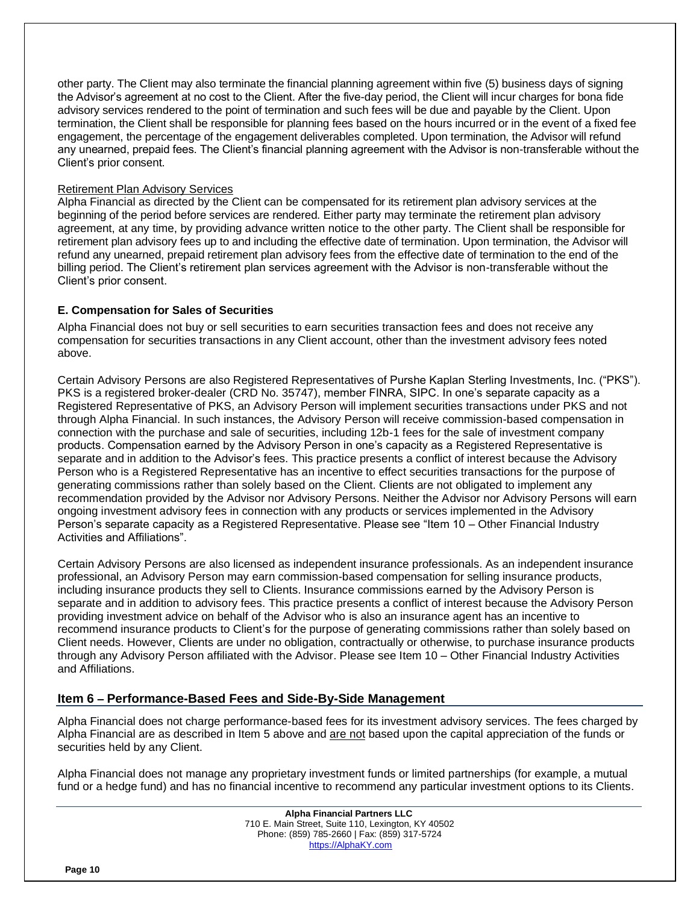other party. The Client may also terminate the financial planning agreement within five (5) business days of signing the Advisor's agreement at no cost to the Client. After the five-day period, the Client will incur charges for bona fide advisory services rendered to the point of termination and such fees will be due and payable by the Client. Upon termination, the Client shall be responsible for planning fees based on the hours incurred or in the event of a fixed fee engagement, the percentage of the engagement deliverables completed. Upon termination, the Advisor will refund any unearned, prepaid fees. The Client's financial planning agreement with the Advisor is non-transferable without the Client's prior consent.

### Retirement Plan Advisory Services

Alpha Financial as directed by the Client can be compensated for its retirement plan advisory services at the beginning of the period before services are rendered. Either party may terminate the retirement plan advisory agreement, at any time, by providing advance written notice to the other party. The Client shall be responsible for retirement plan advisory fees up to and including the effective date of termination. Upon termination, the Advisor will refund any unearned, prepaid retirement plan advisory fees from the effective date of termination to the end of the billing period. The Client's retirement plan services agreement with the Advisor is non-transferable without the Client's prior consent.

# **E. Compensation for Sales of Securities**

Alpha Financial does not buy or sell securities to earn securities transaction fees and does not receive any compensation for securities transactions in any Client account, other than the investment advisory fees noted above.

Certain Advisory Persons are also Registered Representatives of Purshe Kaplan Sterling Investments, Inc. ("PKS"). PKS is a registered broker-dealer (CRD No. 35747), member FINRA, SIPC. In one's separate capacity as a Registered Representative of PKS, an Advisory Person will implement securities transactions under PKS and not through Alpha Financial. In such instances, the Advisory Person will receive commission-based compensation in connection with the purchase and sale of securities, including 12b-1 fees for the sale of investment company products. Compensation earned by the Advisory Person in one's capacity as a Registered Representative is separate and in addition to the Advisor's fees. This practice presents a conflict of interest because the Advisory Person who is a Registered Representative has an incentive to effect securities transactions for the purpose of generating commissions rather than solely based on the Client. Clients are not obligated to implement any recommendation provided by the Advisor nor Advisory Persons. Neither the Advisor nor Advisory Persons will earn ongoing investment advisory fees in connection with any products or services implemented in the Advisory Person's separate capacity as a Registered Representative. Please see "Item 10 – Other Financial Industry Activities and Affiliations".

Certain Advisory Persons are also licensed as independent insurance professionals. As an independent insurance professional, an Advisory Person may earn commission-based compensation for selling insurance products, including insurance products they sell to Clients. Insurance commissions earned by the Advisory Person is separate and in addition to advisory fees. This practice presents a conflict of interest because the Advisory Person providing investment advice on behalf of the Advisor who is also an insurance agent has an incentive to recommend insurance products to Client's for the purpose of generating commissions rather than solely based on Client needs. However, Clients are under no obligation, contractually or otherwise, to purchase insurance products through any Advisory Person affiliated with the Advisor. Please see Item 10 – Other Financial Industry Activities and Affiliations.

# **Item 6 – Performance-Based Fees and Side-By-Side Management**

Alpha Financial does not charge performance-based fees for its investment advisory services. The fees charged by Alpha Financial are as described in Item 5 above and are not based upon the capital appreciation of the funds or securities held by any Client.

Alpha Financial does not manage any proprietary investment funds or limited partnerships (for example, a mutual fund or a hedge fund) and has no financial incentive to recommend any particular investment options to its Clients.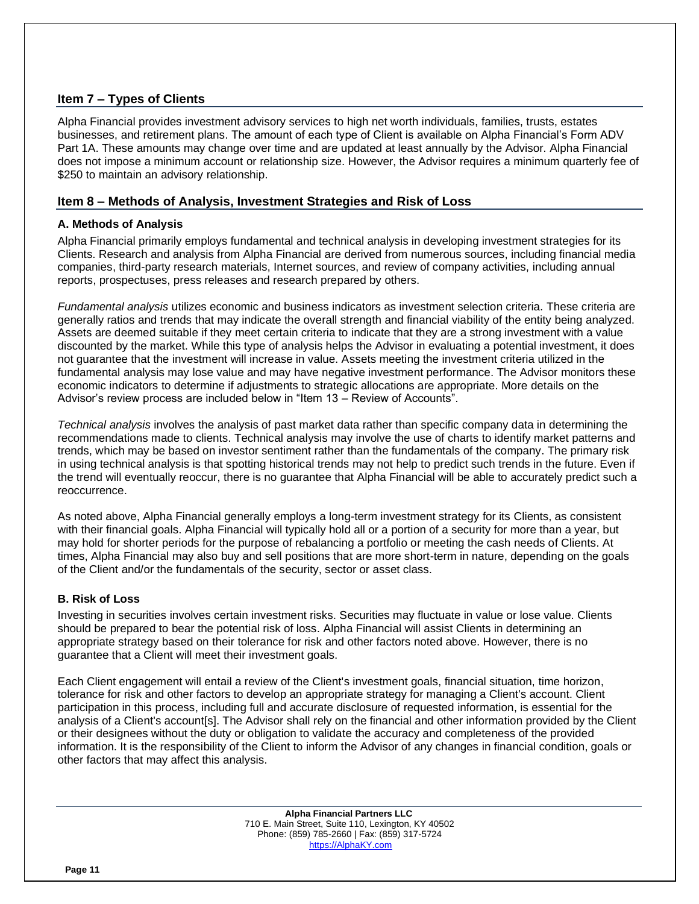# **Item 7 – Types of Clients**

Alpha Financial provides investment advisory services to high net worth individuals, families, trusts, estates businesses, and retirement plans. The amount of each type of Client is available on Alpha Financial's Form ADV Part 1A. These amounts may change over time and are updated at least annually by the Advisor. Alpha Financial does not impose a minimum account or relationship size. However, the Advisor requires a minimum quarterly fee of \$250 to maintain an advisory relationship.

# **Item 8 – Methods of Analysis, Investment Strategies and Risk of Loss**

# **A. Methods of Analysis**

Alpha Financial primarily employs fundamental and technical analysis in developing investment strategies for its Clients. Research and analysis from Alpha Financial are derived from numerous sources, including financial media companies, third-party research materials, Internet sources, and review of company activities, including annual reports, prospectuses, press releases and research prepared by others.

*Fundamental analysis* utilizes economic and business indicators as investment selection criteria. These criteria are generally ratios and trends that may indicate the overall strength and financial viability of the entity being analyzed. Assets are deemed suitable if they meet certain criteria to indicate that they are a strong investment with a value discounted by the market. While this type of analysis helps the Advisor in evaluating a potential investment, it does not guarantee that the investment will increase in value. Assets meeting the investment criteria utilized in the fundamental analysis may lose value and may have negative investment performance. The Advisor monitors these economic indicators to determine if adjustments to strategic allocations are appropriate. More details on the Advisor's review process are included below in "Item 13 – Review of Accounts".

*Technical analysis* involves the analysis of past market data rather than specific company data in determining the recommendations made to clients. Technical analysis may involve the use of charts to identify market patterns and trends, which may be based on investor sentiment rather than the fundamentals of the company. The primary risk in using technical analysis is that spotting historical trends may not help to predict such trends in the future. Even if the trend will eventually reoccur, there is no guarantee that Alpha Financial will be able to accurately predict such a reoccurrence.

As noted above, Alpha Financial generally employs a long-term investment strategy for its Clients, as consistent with their financial goals. Alpha Financial will typically hold all or a portion of a security for more than a year, but may hold for shorter periods for the purpose of rebalancing a portfolio or meeting the cash needs of Clients. At times, Alpha Financial may also buy and sell positions that are more short-term in nature, depending on the goals of the Client and/or the fundamentals of the security, sector or asset class.

# **B. Risk of Loss**

Investing in securities involves certain investment risks. Securities may fluctuate in value or lose value. Clients should be prepared to bear the potential risk of loss. Alpha Financial will assist Clients in determining an appropriate strategy based on their tolerance for risk and other factors noted above. However, there is no guarantee that a Client will meet their investment goals.

Each Client engagement will entail a review of the Client's investment goals, financial situation, time horizon, tolerance for risk and other factors to develop an appropriate strategy for managing a Client's account. Client participation in this process, including full and accurate disclosure of requested information, is essential for the analysis of a Client's account[s]. The Advisor shall rely on the financial and other information provided by the Client or their designees without the duty or obligation to validate the accuracy and completeness of the provided information. It is the responsibility of the Client to inform the Advisor of any changes in financial condition, goals or other factors that may affect this analysis.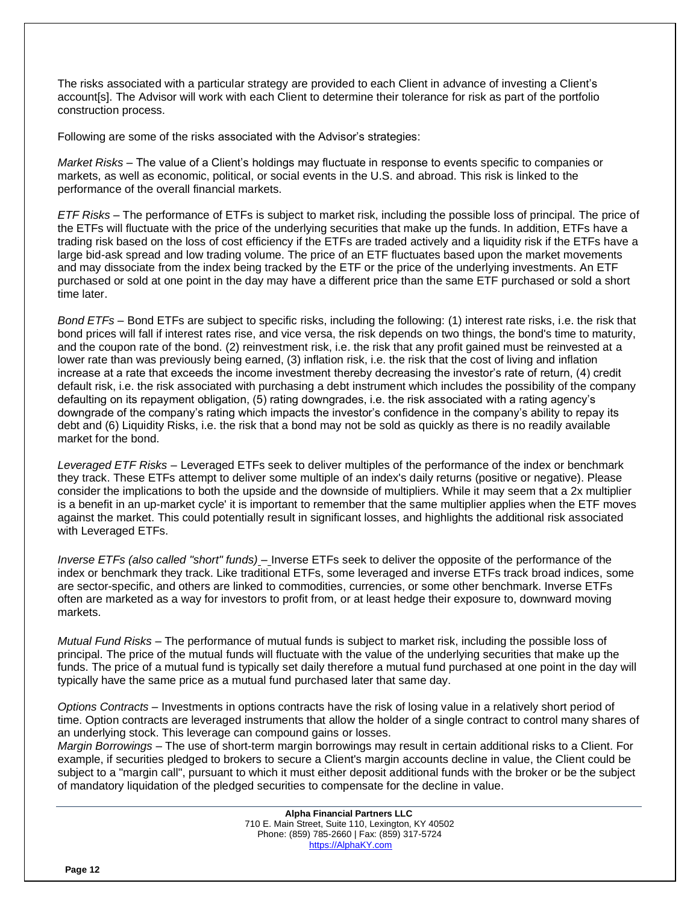The risks associated with a particular strategy are provided to each Client in advance of investing a Client's account[s]. The Advisor will work with each Client to determine their tolerance for risk as part of the portfolio construction process.

Following are some of the risks associated with the Advisor's strategies:

*Market Risks* – The value of a Client's holdings may fluctuate in response to events specific to companies or markets, as well as economic, political, or social events in the U.S. and abroad. This risk is linked to the performance of the overall financial markets.

*ETF Risks* – The performance of ETFs is subject to market risk, including the possible loss of principal. The price of the ETFs will fluctuate with the price of the underlying securities that make up the funds. In addition, ETFs have a trading risk based on the loss of cost efficiency if the ETFs are traded actively and a liquidity risk if the ETFs have a large bid-ask spread and low trading volume. The price of an ETF fluctuates based upon the market movements and may dissociate from the index being tracked by the ETF or the price of the underlying investments. An ETF purchased or sold at one point in the day may have a different price than the same ETF purchased or sold a short time later.

*Bond ETFs* – Bond ETFs are subject to specific risks, including the following: (1) interest rate risks, i.e. the risk that bond prices will fall if interest rates rise, and vice versa, the risk depends on two things, the bond's time to maturity, and the coupon rate of the bond. (2) reinvestment risk, i.e. the risk that any profit gained must be reinvested at a lower rate than was previously being earned, (3) inflation risk, i.e. the risk that the cost of living and inflation increase at a rate that exceeds the income investment thereby decreasing the investor's rate of return, (4) credit default risk, i.e. the risk associated with purchasing a debt instrument which includes the possibility of the company defaulting on its repayment obligation, (5) rating downgrades, i.e. the risk associated with a rating agency's downgrade of the company's rating which impacts the investor's confidence in the company's ability to repay its debt and (6) Liquidity Risks, i.e. the risk that a bond may not be sold as quickly as there is no readily available market for the bond.

*Leveraged ETF Risks* – Leveraged ETFs seek to deliver multiples of the performance of the index or benchmark they track. These ETFs attempt to deliver some multiple of an index's daily returns (positive or negative). Please consider the implications to both the upside and the downside of multipliers. While it may seem that a 2x multiplier is a benefit in an up-market cycle' it is important to remember that the same multiplier applies when the ETF moves against the market. This could potentially result in significant losses, and highlights the additional risk associated with Leveraged ETFs.

*Inverse ETFs (also called "short" funds)* – Inverse ETFs seek to deliver the opposite of the performance of the index or benchmark they track. Like traditional ETFs, some leveraged and inverse ETFs track broad indices, some are sector-specific, and others are linked to commodities, currencies, or some other benchmark. Inverse ETFs often are marketed as a way for investors to profit from, or at least hedge their exposure to, downward moving markets.

*Mutual Fund Risks* – The performance of mutual funds is subject to market risk, including the possible loss of principal. The price of the mutual funds will fluctuate with the value of the underlying securities that make up the funds. The price of a mutual fund is typically set daily therefore a mutual fund purchased at one point in the day will typically have the same price as a mutual fund purchased later that same day.

*Options Contracts* – Investments in options contracts have the risk of losing value in a relatively short period of time. Option contracts are leveraged instruments that allow the holder of a single contract to control many shares of an underlying stock. This leverage can compound gains or losses.

*Margin Borrowings* – The use of short-term margin borrowings may result in certain additional risks to a Client. For example, if securities pledged to brokers to secure a Client's margin accounts decline in value, the Client could be subject to a "margin call", pursuant to which it must either deposit additional funds with the broker or be the subject of mandatory liquidation of the pledged securities to compensate for the decline in value.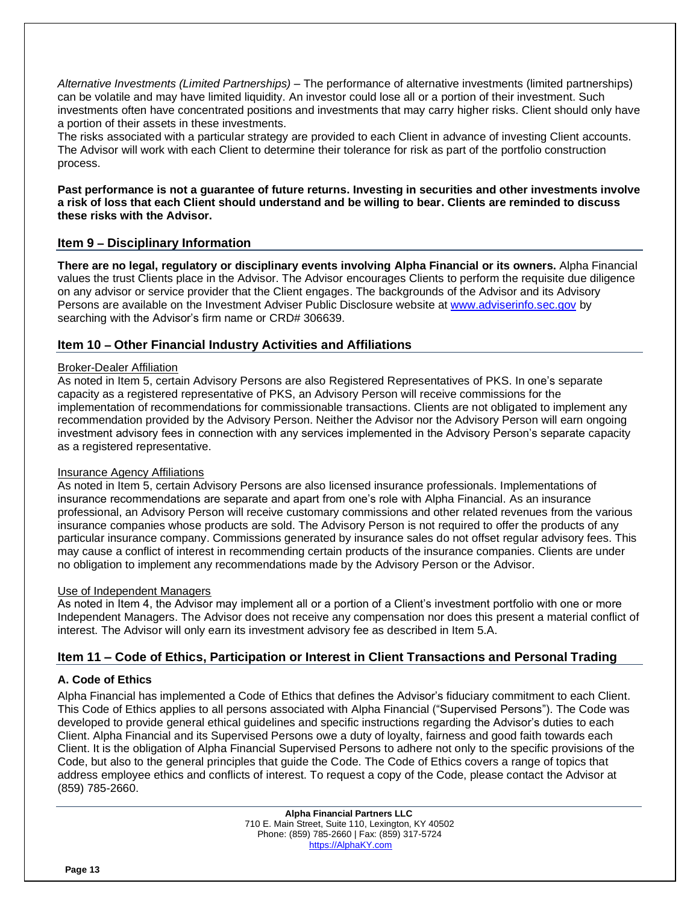*Alternative Investments (Limited Partnerships)* – The performance of alternative investments (limited partnerships) can be volatile and may have limited liquidity. An investor could lose all or a portion of their investment. Such investments often have concentrated positions and investments that may carry higher risks. Client should only have a portion of their assets in these investments.

The risks associated with a particular strategy are provided to each Client in advance of investing Client accounts. The Advisor will work with each Client to determine their tolerance for risk as part of the portfolio construction process.

**Past performance is not a guarantee of future returns. Investing in securities and other investments involve a risk of loss that each Client should understand and be willing to bear. Clients are reminded to discuss these risks with the Advisor.** 

# **Item 9 – Disciplinary Information**

**There are no legal, regulatory or disciplinary events involving Alpha Financial or its owners.** Alpha Financial values the trust Clients place in the Advisor. The Advisor encourages Clients to perform the requisite due diligence on any advisor or service provider that the Client engages. The backgrounds of the Advisor and its Advisory Persons are available on the Investment Adviser Public Disclosure website at [www.adviserinfo.sec.gov](http://www.adviserinfo.sec.gov/) by searching with the Advisor's firm name or CRD# 306639.

# **Item 10 – Other Financial Industry Activities and Affiliations**

#### Broker-Dealer Affiliation

As noted in Item 5, certain Advisory Persons are also Registered Representatives of PKS. In one's separate capacity as a registered representative of PKS, an Advisory Person will receive commissions for the implementation of recommendations for commissionable transactions. Clients are not obligated to implement any recommendation provided by the Advisory Person. Neither the Advisor nor the Advisory Person will earn ongoing investment advisory fees in connection with any services implemented in the Advisory Person's separate capacity as a registered representative.

### Insurance Agency Affiliations

As noted in Item 5, certain Advisory Persons are also licensed insurance professionals. Implementations of insurance recommendations are separate and apart from one's role with Alpha Financial. As an insurance professional, an Advisory Person will receive customary commissions and other related revenues from the various insurance companies whose products are sold. The Advisory Person is not required to offer the products of any particular insurance company. Commissions generated by insurance sales do not offset regular advisory fees. This may cause a conflict of interest in recommending certain products of the insurance companies. Clients are under no obligation to implement any recommendations made by the Advisory Person or the Advisor.

#### Use of Independent Managers

As noted in Item 4, the Advisor may implement all or a portion of a Client's investment portfolio with one or more Independent Managers. The Advisor does not receive any compensation nor does this present a material conflict of interest. The Advisor will only earn its investment advisory fee as described in Item 5.A.

# **Item 11 – Code of Ethics, Participation or Interest in Client Transactions and Personal Trading**

### **A. Code of Ethics**

Alpha Financial has implemented a Code of Ethics that defines the Advisor's fiduciary commitment to each Client. This Code of Ethics applies to all persons associated with Alpha Financial ("Supervised Persons"). The Code was developed to provide general ethical guidelines and specific instructions regarding the Advisor's duties to each Client. Alpha Financial and its Supervised Persons owe a duty of loyalty, fairness and good faith towards each Client. It is the obligation of Alpha Financial Supervised Persons to adhere not only to the specific provisions of the Code, but also to the general principles that guide the Code. The Code of Ethics covers a range of topics that address employee ethics and conflicts of interest. To request a copy of the Code, please contact the Advisor at (859) 785-2660.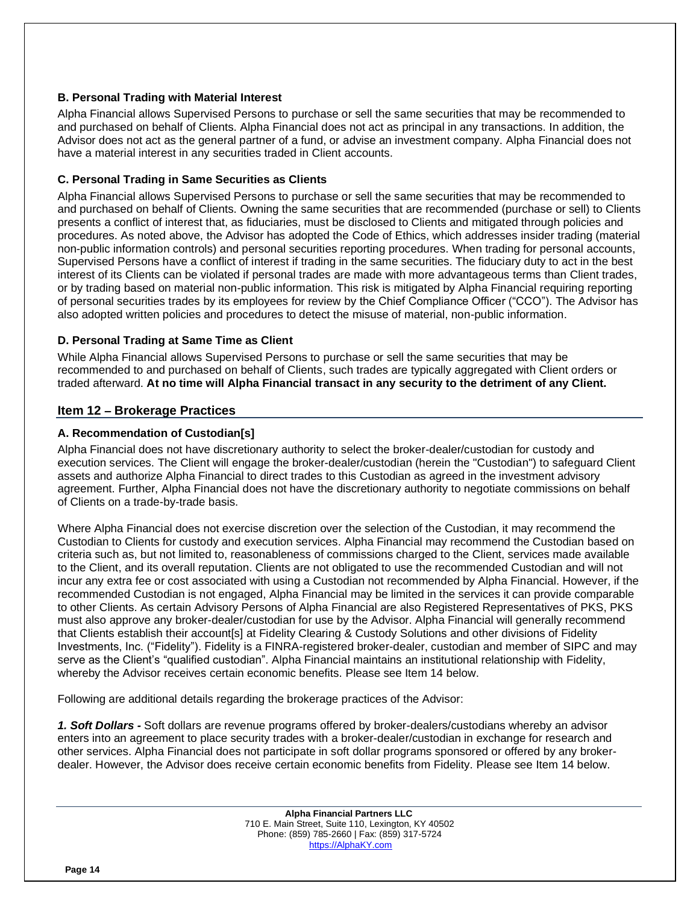# **B. Personal Trading with Material Interest**

Alpha Financial allows Supervised Persons to purchase or sell the same securities that may be recommended to and purchased on behalf of Clients. Alpha Financial does not act as principal in any transactions. In addition, the Advisor does not act as the general partner of a fund, or advise an investment company. Alpha Financial does not have a material interest in any securities traded in Client accounts.

# **C. Personal Trading in Same Securities as Clients**

Alpha Financial allows Supervised Persons to purchase or sell the same securities that may be recommended to and purchased on behalf of Clients. Owning the same securities that are recommended (purchase or sell) to Clients presents a conflict of interest that, as fiduciaries, must be disclosed to Clients and mitigated through policies and procedures. As noted above, the Advisor has adopted the Code of Ethics, which addresses insider trading (material non-public information controls) and personal securities reporting procedures. When trading for personal accounts, Supervised Persons have a conflict of interest if trading in the same securities. The fiduciary duty to act in the best interest of its Clients can be violated if personal trades are made with more advantageous terms than Client trades, or by trading based on material non-public information. This risk is mitigated by Alpha Financial requiring reporting of personal securities trades by its employees for review by the Chief Compliance Officer ("CCO"). The Advisor has also adopted written policies and procedures to detect the misuse of material, non-public information.

# **D. Personal Trading at Same Time as Client**

While Alpha Financial allows Supervised Persons to purchase or sell the same securities that may be recommended to and purchased on behalf of Clients, such trades are typically aggregated with Client orders or traded afterward. **At no time will Alpha Financial transact in any security to the detriment of any Client.** 

# **Item 12 – Brokerage Practices**

# **A. Recommendation of Custodian[s]**

Alpha Financial does not have discretionary authority to select the broker-dealer/custodian for custody and execution services. The Client will engage the broker-dealer/custodian (herein the "Custodian") to safeguard Client assets and authorize Alpha Financial to direct trades to this Custodian as agreed in the investment advisory agreement. Further, Alpha Financial does not have the discretionary authority to negotiate commissions on behalf of Clients on a trade-by-trade basis.

Where Alpha Financial does not exercise discretion over the selection of the Custodian, it may recommend the Custodian to Clients for custody and execution services. Alpha Financial may recommend the Custodian based on criteria such as, but not limited to, reasonableness of commissions charged to the Client, services made available to the Client, and its overall reputation. Clients are not obligated to use the recommended Custodian and will not incur any extra fee or cost associated with using a Custodian not recommended by Alpha Financial. However, if the recommended Custodian is not engaged, Alpha Financial may be limited in the services it can provide comparable to other Clients. As certain Advisory Persons of Alpha Financial are also Registered Representatives of PKS, PKS must also approve any broker-dealer/custodian for use by the Advisor. Alpha Financial will generally recommend that Clients establish their account[s] at Fidelity Clearing & Custody Solutions and other divisions of Fidelity Investments, Inc. ("Fidelity"). Fidelity is a FINRA-registered broker-dealer, custodian and member of SIPC and may serve as the Client's "qualified custodian". Alpha Financial maintains an institutional relationship with Fidelity, whereby the Advisor receives certain economic benefits. Please see Item 14 below.

Following are additional details regarding the brokerage practices of the Advisor:

*1. Soft Dollars -* Soft dollars are revenue programs offered by broker-dealers/custodians whereby an advisor enters into an agreement to place security trades with a broker-dealer/custodian in exchange for research and other services. Alpha Financial does not participate in soft dollar programs sponsored or offered by any brokerdealer. However, the Advisor does receive certain economic benefits from Fidelity. Please see Item 14 below.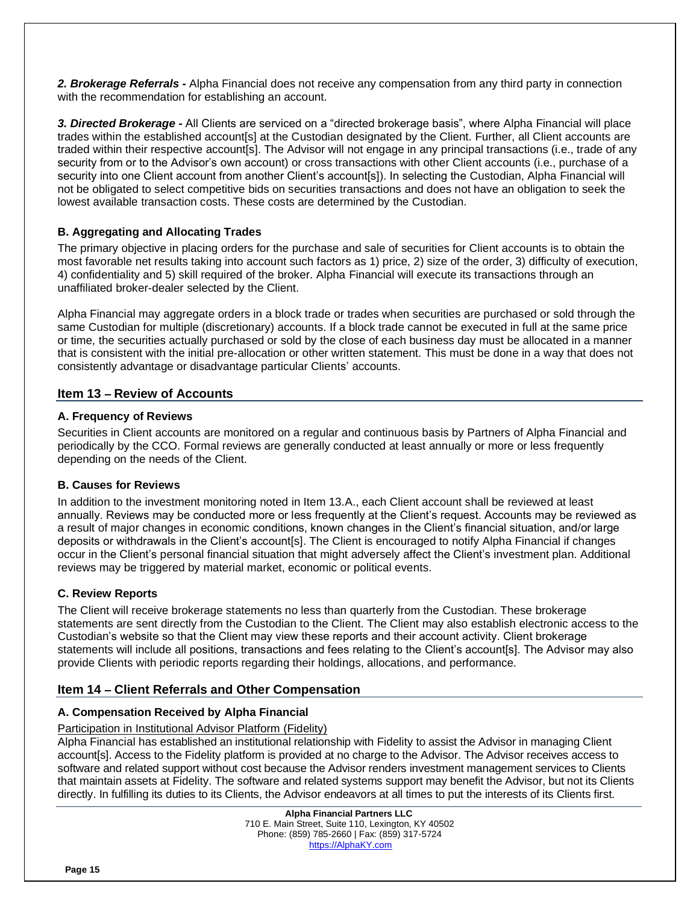*2. Brokerage Referrals -* Alpha Financial does not receive any compensation from any third party in connection with the recommendation for establishing an account.

*3. Directed Brokerage -* All Clients are serviced on a "directed brokerage basis", where Alpha Financial will place trades within the established account[s] at the Custodian designated by the Client. Further, all Client accounts are traded within their respective account[s]. The Advisor will not engage in any principal transactions (i.e., trade of any security from or to the Advisor's own account) or cross transactions with other Client accounts (i.e., purchase of a security into one Client account from another Client's account[s]). In selecting the Custodian, Alpha Financial will not be obligated to select competitive bids on securities transactions and does not have an obligation to seek the lowest available transaction costs. These costs are determined by the Custodian.

# **B. Aggregating and Allocating Trades**

The primary objective in placing orders for the purchase and sale of securities for Client accounts is to obtain the most favorable net results taking into account such factors as 1) price, 2) size of the order, 3) difficulty of execution, 4) confidentiality and 5) skill required of the broker. Alpha Financial will execute its transactions through an unaffiliated broker-dealer selected by the Client.

Alpha Financial may aggregate orders in a block trade or trades when securities are purchased or sold through the same Custodian for multiple (discretionary) accounts. If a block trade cannot be executed in full at the same price or time, the securities actually purchased or sold by the close of each business day must be allocated in a manner that is consistent with the initial pre-allocation or other written statement. This must be done in a way that does not consistently advantage or disadvantage particular Clients' accounts.

# **Item 13 – Review of Accounts**

# **A. Frequency of Reviews**

Securities in Client accounts are monitored on a regular and continuous basis by Partners of Alpha Financial and periodically by the CCO. Formal reviews are generally conducted at least annually or more or less frequently depending on the needs of the Client.

# **B. Causes for Reviews**

In addition to the investment monitoring noted in Item 13.A., each Client account shall be reviewed at least annually. Reviews may be conducted more or less frequently at the Client's request. Accounts may be reviewed as a result of major changes in economic conditions, known changes in the Client's financial situation, and/or large deposits or withdrawals in the Client's account[s]. The Client is encouraged to notify Alpha Financial if changes occur in the Client's personal financial situation that might adversely affect the Client's investment plan. Additional reviews may be triggered by material market, economic or political events.

# **C. Review Reports**

The Client will receive brokerage statements no less than quarterly from the Custodian. These brokerage statements are sent directly from the Custodian to the Client. The Client may also establish electronic access to the Custodian's website so that the Client may view these reports and their account activity. Client brokerage statements will include all positions, transactions and fees relating to the Client's account[s]. The Advisor may also provide Clients with periodic reports regarding their holdings, allocations, and performance.

# **Item 14 – Client Referrals and Other Compensation**

# **A. Compensation Received by Alpha Financial**

# Participation in Institutional Advisor Platform (Fidelity)

Alpha Financial has established an institutional relationship with Fidelity to assist the Advisor in managing Client account[s]. Access to the Fidelity platform is provided at no charge to the Advisor. The Advisor receives access to software and related support without cost because the Advisor renders investment management services to Clients that maintain assets at Fidelity. The software and related systems support may benefit the Advisor, but not its Clients directly. In fulfilling its duties to its Clients, the Advisor endeavors at all times to put the interests of its Clients first.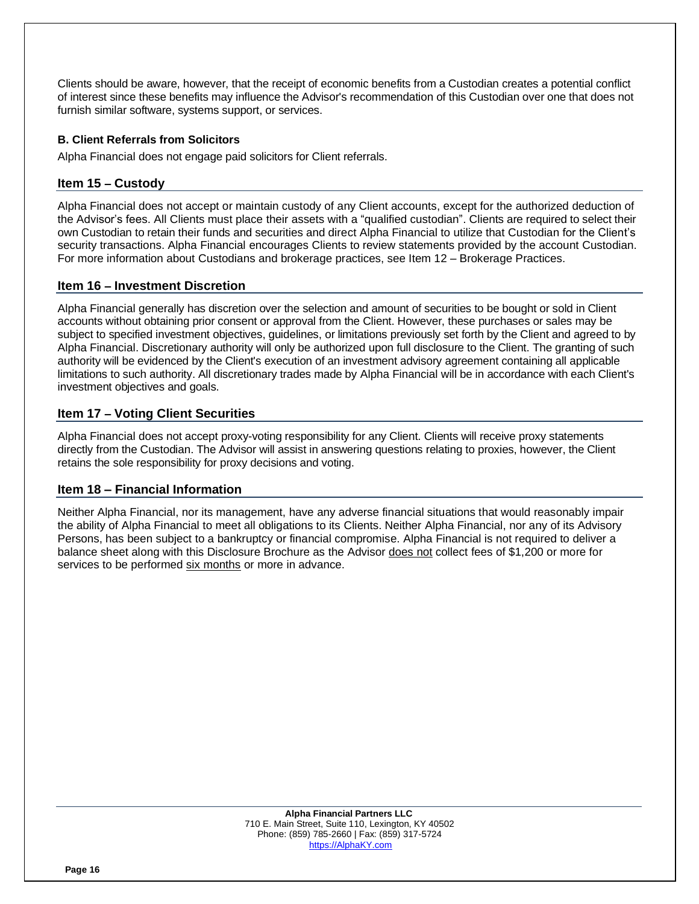Clients should be aware, however, that the receipt of economic benefits from a Custodian creates a potential conflict of interest since these benefits may influence the Advisor's recommendation of this Custodian over one that does not furnish similar software, systems support, or services.

# **B. Client Referrals from Solicitors**

Alpha Financial does not engage paid solicitors for Client referrals.

# **Item 15 – Custody**

Alpha Financial does not accept or maintain custody of any Client accounts, except for the authorized deduction of the Advisor's fees. All Clients must place their assets with a "qualified custodian". Clients are required to select their own Custodian to retain their funds and securities and direct Alpha Financial to utilize that Custodian for the Client's security transactions. Alpha Financial encourages Clients to review statements provided by the account Custodian. For more information about Custodians and brokerage practices, see Item 12 – Brokerage Practices.

# **Item 16 – Investment Discretion**

Alpha Financial generally has discretion over the selection and amount of securities to be bought or sold in Client accounts without obtaining prior consent or approval from the Client. However, these purchases or sales may be subject to specified investment objectives, guidelines, or limitations previously set forth by the Client and agreed to by Alpha Financial. Discretionary authority will only be authorized upon full disclosure to the Client. The granting of such authority will be evidenced by the Client's execution of an investment advisory agreement containing all applicable limitations to such authority. All discretionary trades made by Alpha Financial will be in accordance with each Client's investment objectives and goals.

# **Item 17 – Voting Client Securities**

Alpha Financial does not accept proxy-voting responsibility for any Client. Clients will receive proxy statements directly from the Custodian. The Advisor will assist in answering questions relating to proxies, however, the Client retains the sole responsibility for proxy decisions and voting.

# **Item 18 – Financial Information**

Neither Alpha Financial, nor its management, have any adverse financial situations that would reasonably impair the ability of Alpha Financial to meet all obligations to its Clients. Neither Alpha Financial, nor any of its Advisory Persons, has been subject to a bankruptcy or financial compromise. Alpha Financial is not required to deliver a balance sheet along with this Disclosure Brochure as the Advisor does not collect fees of \$1,200 or more for services to be performed six months or more in advance.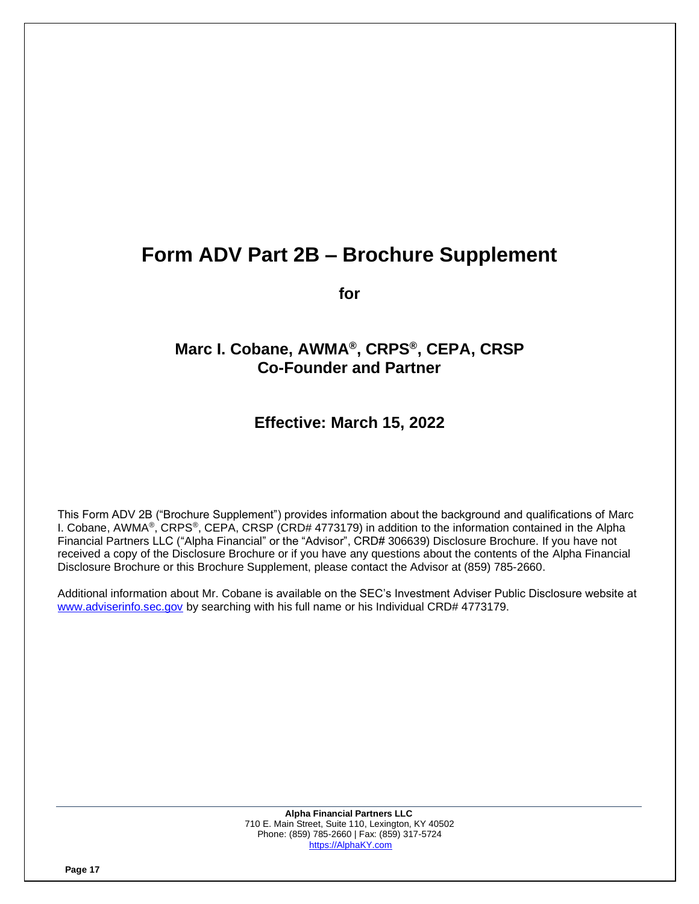# **Form ADV Part 2B – Brochure Supplement**

**for**

# **Marc I. Cobane, AWMA®, CRPS®, CEPA, CRSP Co-Founder and Partner**

# **Effective: March 15, 2022**

This Form ADV 2B ("Brochure Supplement") provides information about the background and qualifications of Marc I. Cobane, AWMA®, CRPS®, CEPA, CRSP (CRD# 4773179) in addition to the information contained in the Alpha Financial Partners LLC ("Alpha Financial" or the "Advisor", CRD# 306639) Disclosure Brochure. If you have not received a copy of the Disclosure Brochure or if you have any questions about the contents of the Alpha Financial Disclosure Brochure or this Brochure Supplement, please contact the Advisor at (859) 785-2660.

Additional information about Mr. Cobane is available on the SEC's Investment Adviser Public Disclosure website at [www.adviserinfo.sec.gov](http://www.adviserinfo.sec.gov/) by searching with his full name or his Individual CRD# 4773179.

> **Alpha Financial Partners LLC** 710 E. Main Street, Suite 110, Lexington, KY 40502 Phone: (859) 785-2660 | Fax: (859) 317-5724 [https://AlphaKY.com](https://alphaky.com/)

**Page 17**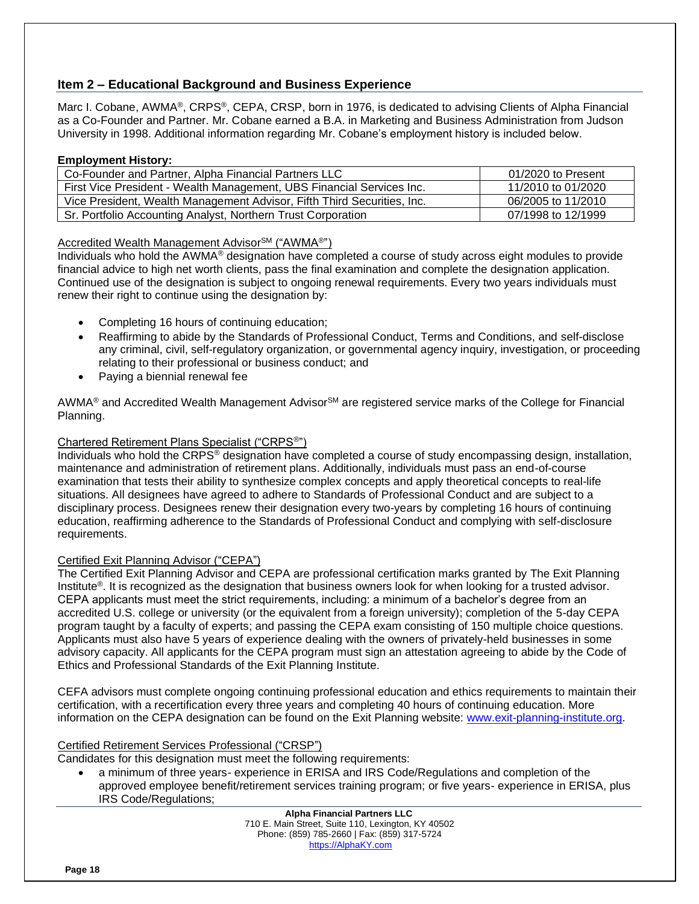# **Item 2 – Educational Background and Business Experience**

Marc I. Cobane, AWMA®, CRPS®, CEPA, CRSP, born in 1976, is dedicated to advising Clients of Alpha Financial as a Co-Founder and Partner. Mr. Cobane earned a B.A. in Marketing and Business Administration from Judson University in 1998. Additional information regarding Mr. Cobane's employment history is included below.

### **Employment History:**

| Co-Founder and Partner, Alpha Financial Partners LLC                    | 01/2020 to Present |
|-------------------------------------------------------------------------|--------------------|
| First Vice President - Wealth Management, UBS Financial Services Inc.   | 11/2010 to 01/2020 |
| Vice President, Wealth Management Advisor, Fifth Third Securities, Inc. | 06/2005 to 11/2010 |
| Sr. Portfolio Accounting Analyst, Northern Trust Corporation            | 07/1998 to 12/1999 |

### Accredited Wealth Management Advisor<sup>SM</sup> ("AWMA®")

Individuals who hold the AWMA® designation have completed a course of study across eight modules to provide financial advice to high net worth clients, pass the final examination and complete the designation application. Continued use of the designation is subject to ongoing renewal requirements. Every two years individuals must renew their right to continue using the designation by:

- Completing 16 hours of continuing education;
- Reaffirming to abide by the Standards of Professional Conduct, Terms and Conditions, and self-disclose any criminal, civil, self-regulatory organization, or governmental agency inquiry, investigation, or proceeding relating to their professional or business conduct; and
- Paying a biennial renewal fee

AWMA<sup>®</sup> and Accredited Wealth Management Advisor<sup>SM</sup> are registered service marks of the College for Financial Planning.

### Chartered Retirement Plans Specialist ("CRPS®")

Individuals who hold the CRPS® designation have completed a course of study encompassing design, installation, maintenance and administration of retirement plans. Additionally, individuals must pass an end-of-course examination that tests their ability to synthesize complex concepts and apply theoretical concepts to real-life situations. All designees have agreed to adhere to Standards of Professional Conduct and are subject to a disciplinary process. Designees renew their designation every two-years by completing 16 hours of continuing education, reaffirming adherence to the Standards of Professional Conduct and complying with self-disclosure requirements.

### Certified Exit Planning Advisor ("CEPA")

The Certified Exit Planning Advisor and CEPA are professional certification marks granted by The Exit Planning Institute<sup>®</sup>. It is recognized as the designation that business owners look for when looking for a trusted advisor. CEPA applicants must meet the strict requirements, including: a minimum of a bachelor's degree from an accredited U.S. college or university (or the equivalent from a foreign university); completion of the 5-day CEPA program taught by a faculty of experts; and passing the CEPA exam consisting of 150 multiple choice questions. Applicants must also have 5 years of experience dealing with the owners of privately-held businesses in some advisory capacity. All applicants for the CEPA program must sign an attestation agreeing to abide by the Code of Ethics and Professional Standards of the Exit Planning Institute.

CEFA advisors must complete ongoing continuing professional education and ethics requirements to maintain their certification, with a recertification every three years and completing 40 hours of continuing education. More information on the CEPA designation can be found on the Exit Planning website: [www.exit-planning-institute.org.](http://www.exit-planning-institute.org/)

### Certified Retirement Services Professional ("CRSP")

Candidates for this designation must meet the following requirements:

• a minimum of three years- experience in ERISA and IRS Code/Regulations and completion of the approved employee benefit/retirement services training program; or five years- experience in ERISA, plus IRS Code/Regulations;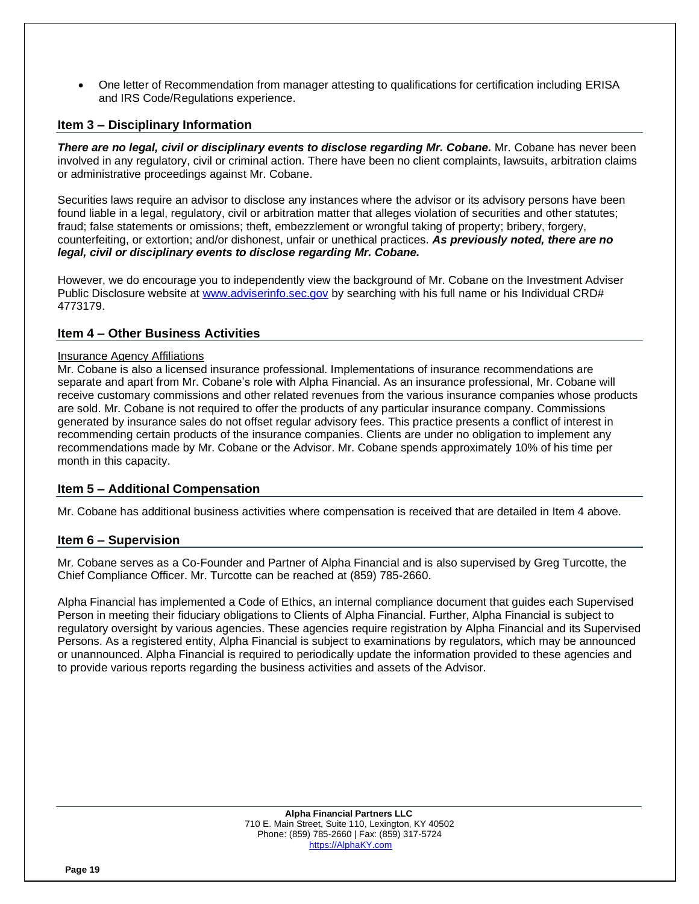• One letter of Recommendation from manager attesting to qualifications for certification including ERISA and IRS Code/Regulations experience.

# **Item 3 – Disciplinary Information**

*There are no legal, civil or disciplinary events to disclose regarding Mr. Cobane.* Mr. Cobane has never been involved in any regulatory, civil or criminal action. There have been no client complaints, lawsuits, arbitration claims or administrative proceedings against Mr. Cobane.

Securities laws require an advisor to disclose any instances where the advisor or its advisory persons have been found liable in a legal, regulatory, civil or arbitration matter that alleges violation of securities and other statutes; fraud; false statements or omissions; theft, embezzlement or wrongful taking of property; bribery, forgery, counterfeiting, or extortion; and/or dishonest, unfair or unethical practices. *As previously noted, there are no legal, civil or disciplinary events to disclose regarding Mr. Cobane.*

However, we do encourage you to independently view the background of Mr. Cobane on the Investment Adviser Public Disclosure website at [www.adviserinfo.sec.gov](http://www.adviserinfo.sec.gov/) by searching with his full name or his Individual CRD# 4773179.

# **Item 4 – Other Business Activities**

### Insurance Agency Affiliations

Mr. Cobane is also a licensed insurance professional. Implementations of insurance recommendations are separate and apart from Mr. Cobane's role with Alpha Financial. As an insurance professional, Mr. Cobane will receive customary commissions and other related revenues from the various insurance companies whose products are sold. Mr. Cobane is not required to offer the products of any particular insurance company. Commissions generated by insurance sales do not offset regular advisory fees. This practice presents a conflict of interest in recommending certain products of the insurance companies. Clients are under no obligation to implement any recommendations made by Mr. Cobane or the Advisor. Mr. Cobane spends approximately 10% of his time per month in this capacity.

# **Item 5 – Additional Compensation**

Mr. Cobane has additional business activities where compensation is received that are detailed in Item 4 above.

# **Item 6 – Supervision**

Mr. Cobane serves as a Co-Founder and Partner of Alpha Financial and is also supervised by Greg Turcotte, the Chief Compliance Officer. Mr. Turcotte can be reached at (859) 785-2660.

Alpha Financial has implemented a Code of Ethics, an internal compliance document that guides each Supervised Person in meeting their fiduciary obligations to Clients of Alpha Financial. Further, Alpha Financial is subject to regulatory oversight by various agencies. These agencies require registration by Alpha Financial and its Supervised Persons. As a registered entity, Alpha Financial is subject to examinations by regulators, which may be announced or unannounced. Alpha Financial is required to periodically update the information provided to these agencies and to provide various reports regarding the business activities and assets of the Advisor.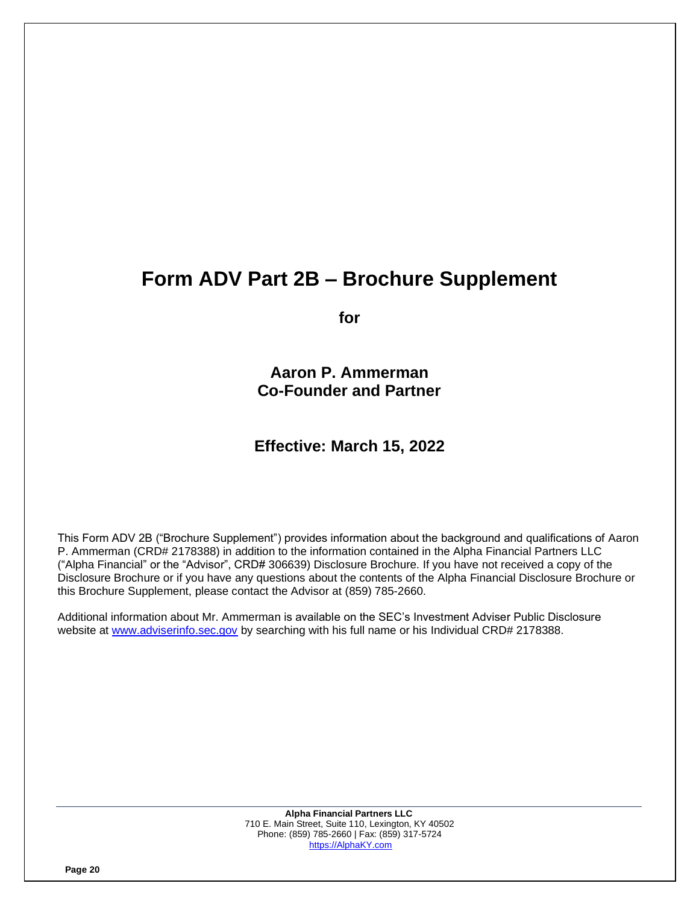# **Form ADV Part 2B – Brochure Supplement**

**for**

**Aaron P. Ammerman Co-Founder and Partner**

# **Effective: March 15, 2022**

This Form ADV 2B ("Brochure Supplement") provides information about the background and qualifications of Aaron P. Ammerman (CRD# 2178388) in addition to the information contained in the Alpha Financial Partners LLC ("Alpha Financial" or the "Advisor", CRD# 306639) Disclosure Brochure. If you have not received a copy of the Disclosure Brochure or if you have any questions about the contents of the Alpha Financial Disclosure Brochure or this Brochure Supplement, please contact the Advisor at (859) 785-2660.

Additional information about Mr. Ammerman is available on the SEC's Investment Adviser Public Disclosure website at [www.adviserinfo.sec.gov](http://www.adviserinfo.sec.gov/) by searching with his full name or his Individual CRD# 2178388.

> **Alpha Financial Partners LLC** 710 E. Main Street, Suite 110, Lexington, KY 40502 Phone: (859) 785-2660 | Fax: (859) 317-5724 [https://AlphaKY.com](https://alphaky.com/)

**Page 20**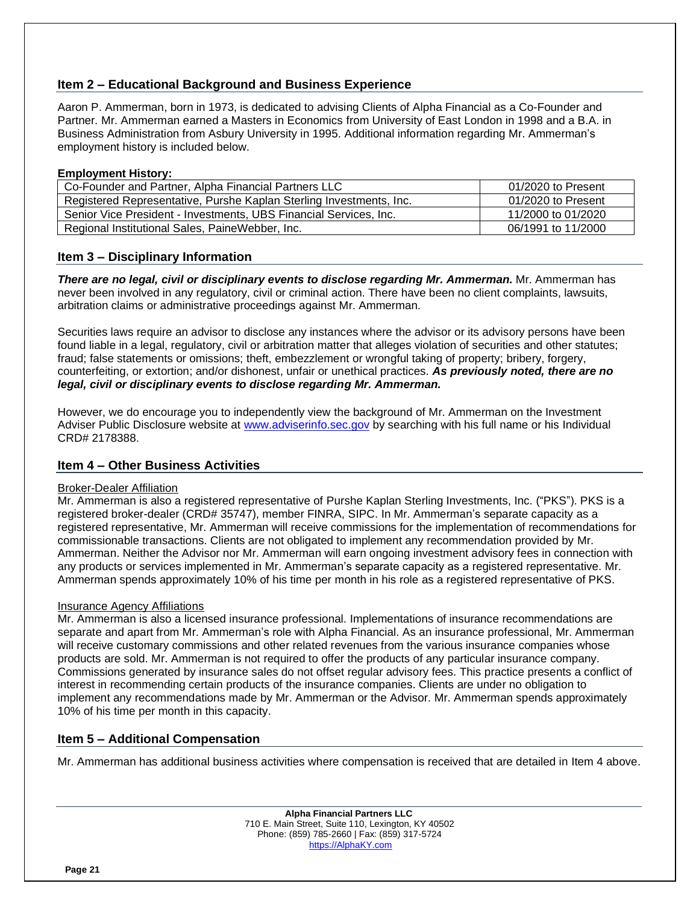# **Item 2 – Educational Background and Business Experience**

Aaron P. Ammerman, born in 1973, is dedicated to advising Clients of Alpha Financial as a Co-Founder and Partner. Mr. Ammerman earned a Masters in Economics from University of East London in 1998 and a B.A. in Business Administration from Asbury University in 1995. Additional information regarding Mr. Ammerman's employment history is included below.

### **Employment History:**

| Co-Founder and Partner, Alpha Financial Partners LLC                | 01/2020 to Present |
|---------------------------------------------------------------------|--------------------|
| Registered Representative, Purshe Kaplan Sterling Investments, Inc. | 01/2020 to Present |
| Senior Vice President - Investments, UBS Financial Services, Inc.   | 11/2000 to 01/2020 |
| Regional Institutional Sales, PaineWebber, Inc.                     | 06/1991 to 11/2000 |

# **Item 3 – Disciplinary Information**

*There are no legal, civil or disciplinary events to disclose regarding Mr. Ammerman.* Mr. Ammerman has never been involved in any regulatory, civil or criminal action. There have been no client complaints, lawsuits, arbitration claims or administrative proceedings against Mr. Ammerman.

Securities laws require an advisor to disclose any instances where the advisor or its advisory persons have been found liable in a legal, regulatory, civil or arbitration matter that alleges violation of securities and other statutes; fraud; false statements or omissions; theft, embezzlement or wrongful taking of property; bribery, forgery, counterfeiting, or extortion; and/or dishonest, unfair or unethical practices. *As previously noted, there are no legal, civil or disciplinary events to disclose regarding Mr. Ammerman.*

However, we do encourage you to independently view the background of Mr. Ammerman on the Investment Adviser Public Disclosure website at [www.adviserinfo.sec.gov](http://www.adviserinfo.sec.gov/) by searching with his full name or his Individual CRD# 2178388.

# **Item 4 – Other Business Activities**

### Broker-Dealer Affiliation

Mr. Ammerman is also a registered representative of Purshe Kaplan Sterling Investments, Inc. ("PKS"). PKS is a registered broker-dealer (CRD# 35747), member FINRA, SIPC. In Mr. Ammerman's separate capacity as a registered representative, Mr. Ammerman will receive commissions for the implementation of recommendations for commissionable transactions. Clients are not obligated to implement any recommendation provided by Mr. Ammerman. Neither the Advisor nor Mr. Ammerman will earn ongoing investment advisory fees in connection with any products or services implemented in Mr. Ammerman's separate capacity as a registered representative. Mr. Ammerman spends approximately 10% of his time per month in his role as a registered representative of PKS.

### Insurance Agency Affiliations

Mr. Ammerman is also a licensed insurance professional. Implementations of insurance recommendations are separate and apart from Mr. Ammerman's role with Alpha Financial. As an insurance professional, Mr. Ammerman will receive customary commissions and other related revenues from the various insurance companies whose products are sold. Mr. Ammerman is not required to offer the products of any particular insurance company. Commissions generated by insurance sales do not offset regular advisory fees. This practice presents a conflict of interest in recommending certain products of the insurance companies. Clients are under no obligation to implement any recommendations made by Mr. Ammerman or the Advisor. Mr. Ammerman spends approximately 10% of his time per month in this capacity.

# **Item 5 – Additional Compensation**

Mr. Ammerman has additional business activities where compensation is received that are detailed in Item 4 above.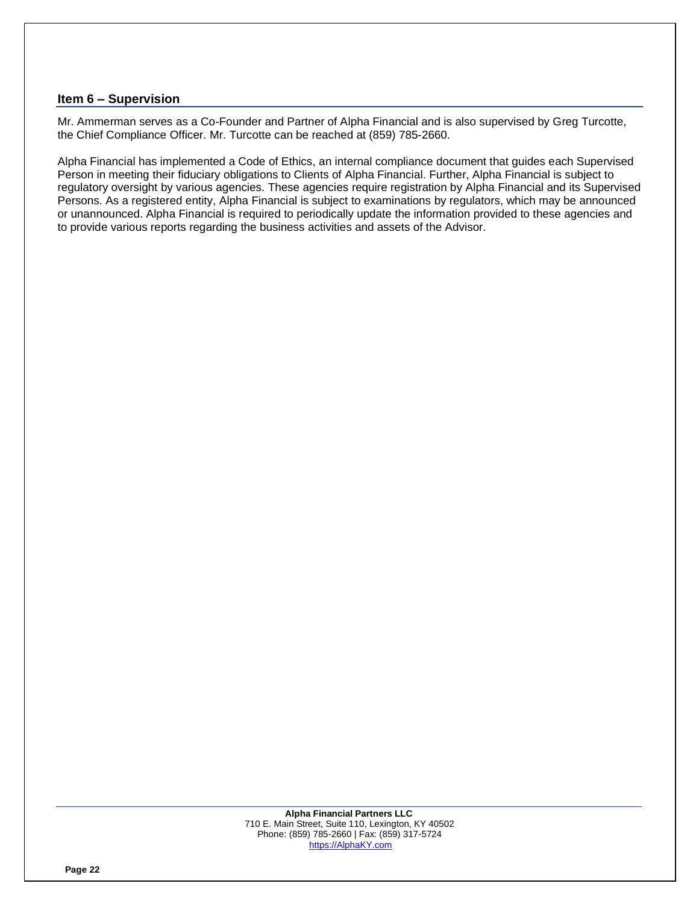### **Item 6 – Supervision**

Mr. Ammerman serves as a Co-Founder and Partner of Alpha Financial and is also supervised by Greg Turcotte, the Chief Compliance Officer. Mr. Turcotte can be reached at (859) 785-2660.

Alpha Financial has implemented a Code of Ethics, an internal compliance document that guides each Supervised Person in meeting their fiduciary obligations to Clients of Alpha Financial. Further, Alpha Financial is subject to regulatory oversight by various agencies. These agencies require registration by Alpha Financial and its Supervised Persons. As a registered entity, Alpha Financial is subject to examinations by regulators, which may be announced or unannounced. Alpha Financial is required to periodically update the information provided to these agencies and to provide various reports regarding the business activities and assets of the Advisor.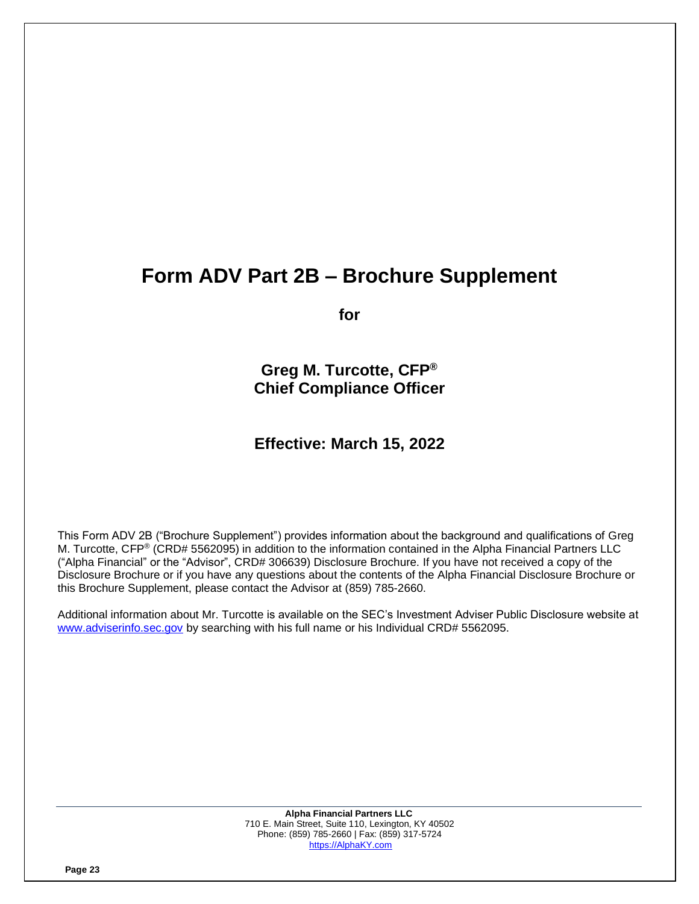# **Form ADV Part 2B – Brochure Supplement**

**for**

**Greg M. Turcotte, CFP® Chief Compliance Officer**

**Effective: March 15, 2022**

This Form ADV 2B ("Brochure Supplement") provides information about the background and qualifications of Greg M. Turcotte, CFP® (CRD# 5562095) in addition to the information contained in the Alpha Financial Partners LLC ("Alpha Financial" or the "Advisor", CRD# 306639) Disclosure Brochure. If you have not received a copy of the Disclosure Brochure or if you have any questions about the contents of the Alpha Financial Disclosure Brochure or this Brochure Supplement, please contact the Advisor at (859) 785-2660.

Additional information about Mr. Turcotte is available on the SEC's Investment Adviser Public Disclosure website at [www.adviserinfo.sec.gov](http://www.adviserinfo.sec.gov/) by searching with his full name or his Individual CRD# 5562095.

> **Alpha Financial Partners LLC** 710 E. Main Street, Suite 110, Lexington, KY 40502 Phone: (859) 785-2660 | Fax: (859) 317-5724 [https://AlphaKY.com](https://alphaky.com/)

**Page 23**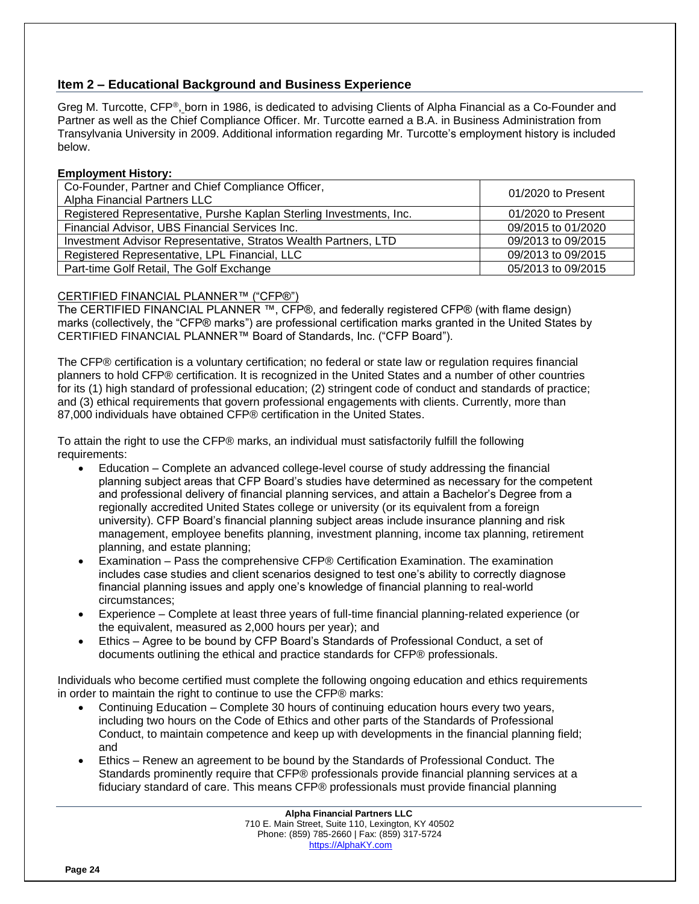# **Item 2 – Educational Background and Business Experience**

Greg M. Turcotte, CFP®, born in 1986, is dedicated to advising Clients of Alpha Financial as a Co-Founder and Partner as well as the Chief Compliance Officer. Mr. Turcotte earned a B.A. in Business Administration from Transylvania University in 2009. Additional information regarding Mr. Turcotte's employment history is included below.

### **Employment History:**

| Co-Founder, Partner and Chief Compliance Officer,<br>Alpha Financial Partners LLC | 01/2020 to Present |
|-----------------------------------------------------------------------------------|--------------------|
| Registered Representative, Purshe Kaplan Sterling Investments, Inc.               | 01/2020 to Present |
| Financial Advisor, UBS Financial Services Inc.                                    | 09/2015 to 01/2020 |
| Investment Advisor Representative, Stratos Wealth Partners, LTD                   | 09/2013 to 09/2015 |
| Registered Representative, LPL Financial, LLC                                     | 09/2013 to 09/2015 |
| Part-time Golf Retail, The Golf Exchange                                          | 05/2013 to 09/2015 |

### CERTIFIED FINANCIAL PLANNER™ ("CFP®")

The CERTIFIED FINANCIAL PLANNER ™, CFP®, and federally registered CFP® (with flame design) marks (collectively, the "CFP® marks") are professional certification marks granted in the United States by CERTIFIED FINANCIAL PLANNER™ Board of Standards, Inc. ("CFP Board").

The CFP® certification is a voluntary certification; no federal or state law or regulation requires financial planners to hold CFP® certification. It is recognized in the United States and a number of other countries for its (1) high standard of professional education; (2) stringent code of conduct and standards of practice; and (3) ethical requirements that govern professional engagements with clients. Currently, more than 87,000 individuals have obtained CFP® certification in the United States.

To attain the right to use the CFP® marks, an individual must satisfactorily fulfill the following requirements:

- Education Complete an advanced college-level course of study addressing the financial planning subject areas that CFP Board's studies have determined as necessary for the competent and professional delivery of financial planning services, and attain a Bachelor's Degree from a regionally accredited United States college or university (or its equivalent from a foreign university). CFP Board's financial planning subject areas include insurance planning and risk management, employee benefits planning, investment planning, income tax planning, retirement planning, and estate planning;
- Examination Pass the comprehensive CFP® Certification Examination. The examination includes case studies and client scenarios designed to test one's ability to correctly diagnose financial planning issues and apply one's knowledge of financial planning to real-world circumstances;
- Experience Complete at least three years of full-time financial planning-related experience (or the equivalent, measured as 2,000 hours per year); and
- Ethics Agree to be bound by CFP Board's Standards of Professional Conduct, a set of documents outlining the ethical and practice standards for CFP® professionals.

Individuals who become certified must complete the following ongoing education and ethics requirements in order to maintain the right to continue to use the CFP® marks:

- Continuing Education Complete 30 hours of continuing education hours every two years, including two hours on the Code of Ethics and other parts of the Standards of Professional Conduct, to maintain competence and keep up with developments in the financial planning field; and
- Ethics Renew an agreement to be bound by the Standards of Professional Conduct. The Standards prominently require that CFP® professionals provide financial planning services at a fiduciary standard of care. This means CFP® professionals must provide financial planning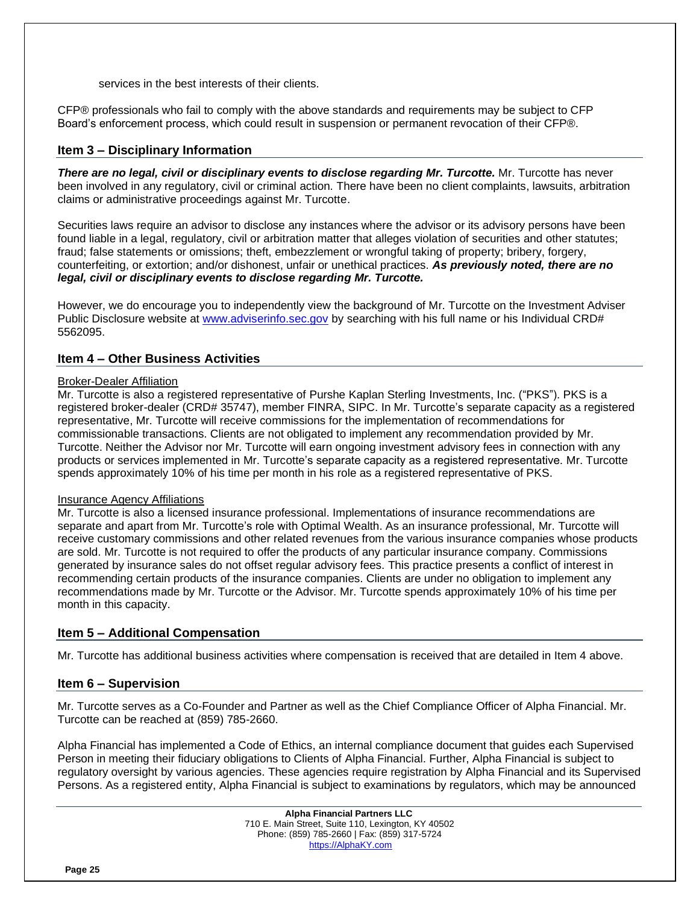services in the best interests of their clients.

CFP® professionals who fail to comply with the above standards and requirements may be subject to CFP Board's enforcement process, which could result in suspension or permanent revocation of their CFP®.

### **Item 3 – Disciplinary Information**

*There are no legal, civil or disciplinary events to disclose regarding Mr. Turcotte.* Mr. Turcotte has never been involved in any regulatory, civil or criminal action. There have been no client complaints, lawsuits, arbitration claims or administrative proceedings against Mr. Turcotte.

Securities laws require an advisor to disclose any instances where the advisor or its advisory persons have been found liable in a legal, regulatory, civil or arbitration matter that alleges violation of securities and other statutes; fraud; false statements or omissions; theft, embezzlement or wrongful taking of property; bribery, forgery, counterfeiting, or extortion; and/or dishonest, unfair or unethical practices. *As previously noted, there are no legal, civil or disciplinary events to disclose regarding Mr. Turcotte.*

However, we do encourage you to independently view the background of Mr. Turcotte on the Investment Adviser Public Disclosure website at [www.adviserinfo.sec.gov](http://www.adviserinfo.sec.gov/) by searching with his full name or his Individual CRD# 5562095.

### **Item 4 – Other Business Activities**

#### Broker-Dealer Affiliation

Mr. Turcotte is also a registered representative of Purshe Kaplan Sterling Investments, Inc. ("PKS"). PKS is a registered broker-dealer (CRD# 35747), member FINRA, SIPC. In Mr. Turcotte's separate capacity as a registered representative, Mr. Turcotte will receive commissions for the implementation of recommendations for commissionable transactions. Clients are not obligated to implement any recommendation provided by Mr. Turcotte. Neither the Advisor nor Mr. Turcotte will earn ongoing investment advisory fees in connection with any products or services implemented in Mr. Turcotte's separate capacity as a registered representative. Mr. Turcotte spends approximately 10% of his time per month in his role as a registered representative of PKS.

### Insurance Agency Affiliations

Mr. Turcotte is also a licensed insurance professional. Implementations of insurance recommendations are separate and apart from Mr. Turcotte's role with Optimal Wealth. As an insurance professional, Mr. Turcotte will receive customary commissions and other related revenues from the various insurance companies whose products are sold. Mr. Turcotte is not required to offer the products of any particular insurance company. Commissions generated by insurance sales do not offset regular advisory fees. This practice presents a conflict of interest in recommending certain products of the insurance companies. Clients are under no obligation to implement any recommendations made by Mr. Turcotte or the Advisor. Mr. Turcotte spends approximately 10% of his time per month in this capacity.

### **Item 5 – Additional Compensation**

Mr. Turcotte has additional business activities where compensation is received that are detailed in Item 4 above.

# **Item 6 – Supervision**

Mr. Turcotte serves as a Co-Founder and Partner as well as the Chief Compliance Officer of Alpha Financial. Mr. Turcotte can be reached at (859) 785-2660.

Alpha Financial has implemented a Code of Ethics, an internal compliance document that guides each Supervised Person in meeting their fiduciary obligations to Clients of Alpha Financial. Further, Alpha Financial is subject to regulatory oversight by various agencies. These agencies require registration by Alpha Financial and its Supervised Persons. As a registered entity, Alpha Financial is subject to examinations by regulators, which may be announced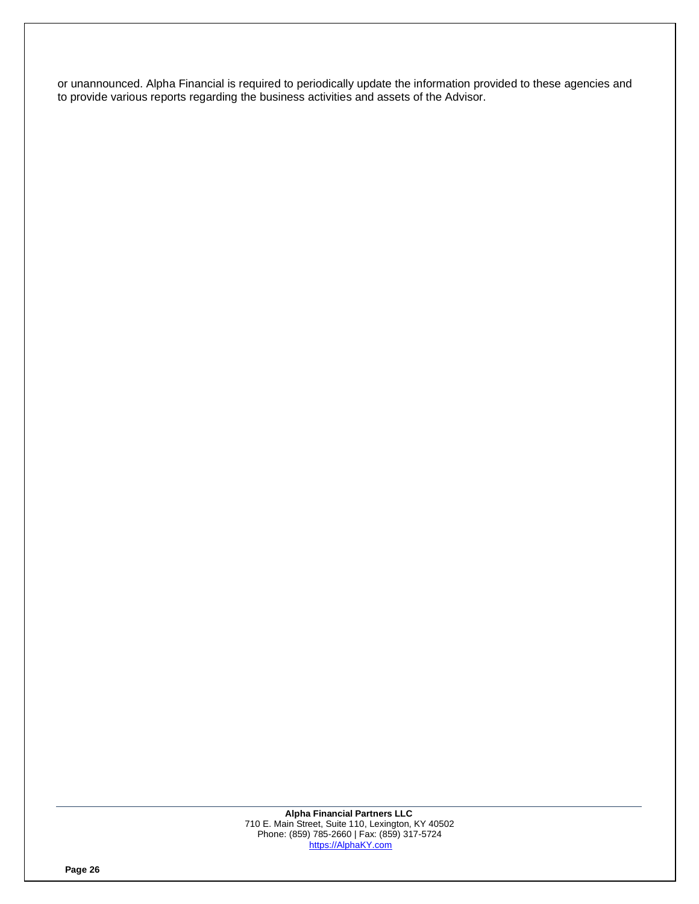or unannounced. Alpha Financial is required to periodically update the information provided to these agencies and to provide various reports regarding the business activities and assets of the Advisor.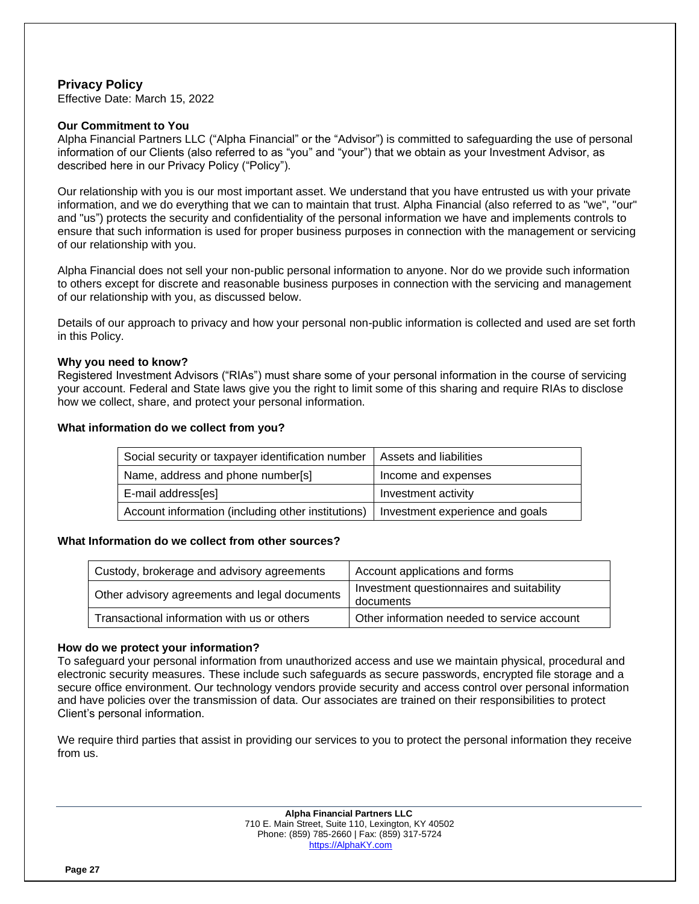# **Privacy Policy**

Effective Date: March 15, 2022

### **Our Commitment to You**

Alpha Financial Partners LLC ("Alpha Financial" or the "Advisor") is committed to safeguarding the use of personal information of our Clients (also referred to as "you" and "your") that we obtain as your Investment Advisor, as described here in our Privacy Policy ("Policy").

Our relationship with you is our most important asset. We understand that you have entrusted us with your private information, and we do everything that we can to maintain that trust. Alpha Financial (also referred to as "we", "our" and "us") protects the security and confidentiality of the personal information we have and implements controls to ensure that such information is used for proper business purposes in connection with the management or servicing of our relationship with you.

Alpha Financial does not sell your non-public personal information to anyone. Nor do we provide such information to others except for discrete and reasonable business purposes in connection with the servicing and management of our relationship with you, as discussed below.

Details of our approach to privacy and how your personal non-public information is collected and used are set forth in this Policy.

### **Why you need to know?**

Registered Investment Advisors ("RIAs") must share some of your personal information in the course of servicing your account. Federal and State laws give you the right to limit some of this sharing and require RIAs to disclose how we collect, share, and protect your personal information.

### **What information do we collect from you?**

| Social security or taxpayer identification number  | Assets and liabilities          |  |
|----------------------------------------------------|---------------------------------|--|
| Name, address and phone number[s]                  | Income and expenses             |  |
| E-mail address[es]                                 | Investment activity             |  |
| Account information (including other institutions) | Investment experience and goals |  |

### **What Information do we collect from other sources?**

| Custody, brokerage and advisory agreements    | Account applications and forms                         |
|-----------------------------------------------|--------------------------------------------------------|
| Other advisory agreements and legal documents | Investment questionnaires and suitability<br>documents |
| Transactional information with us or others   | Other information needed to service account            |

### **How do we protect your information?**

To safeguard your personal information from unauthorized access and use we maintain physical, procedural and electronic security measures. These include such safeguards as secure passwords, encrypted file storage and a secure office environment. Our technology vendors provide security and access control over personal information and have policies over the transmission of data. Our associates are trained on their responsibilities to protect Client's personal information.

We require third parties that assist in providing our services to you to protect the personal information they receive from us.